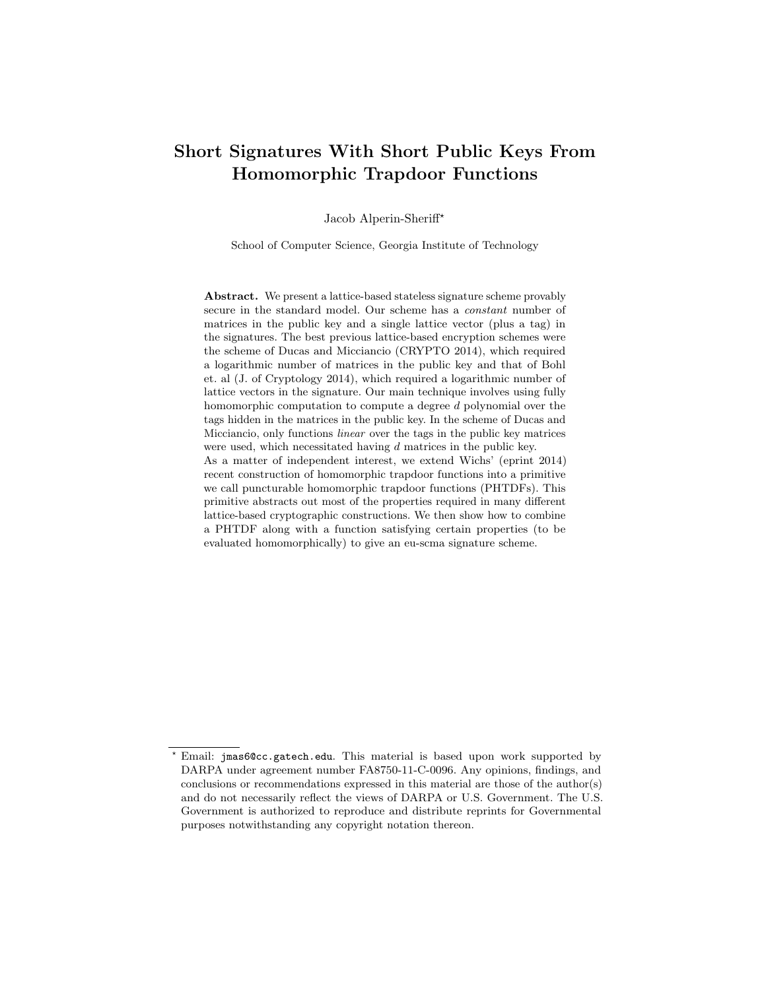# Short Signatures With Short Public Keys From Homomorphic Trapdoor Functions

Jacob Alperin-Sheriff?

School of Computer Science, Georgia Institute of Technology

Abstract. We present a lattice-based stateless signature scheme provably secure in the standard model. Our scheme has a constant number of matrices in the public key and a single lattice vector (plus a tag) in the signatures. The best previous lattice-based encryption schemes were the scheme of Ducas and Micciancio (CRYPTO 2014), which required a logarithmic number of matrices in the public key and that of Bohl et. al (J. of Cryptology 2014), which required a logarithmic number of lattice vectors in the signature. Our main technique involves using fully homomorphic computation to compute a degree d polynomial over the tags hidden in the matrices in the public key. In the scheme of Ducas and Micciancio, only functions linear over the tags in the public key matrices were used, which necessitated having d matrices in the public key. As a matter of independent interest, we extend Wichs' (eprint 2014) recent construction of homomorphic trapdoor functions into a primitive we call puncturable homomorphic trapdoor functions (PHTDFs). This primitive abstracts out most of the properties required in many different lattice-based cryptographic constructions. We then show how to combine a PHTDF along with a function satisfying certain properties (to be evaluated homomorphically) to give an eu-scma signature scheme.

Email: jmas6@cc.gatech.edu. This material is based upon work supported by DARPA under agreement number FA8750-11-C-0096. Any opinions, findings, and conclusions or recommendations expressed in this material are those of the author(s) and do not necessarily reflect the views of DARPA or U.S. Government. The U.S. Government is authorized to reproduce and distribute reprints for Governmental purposes notwithstanding any copyright notation thereon.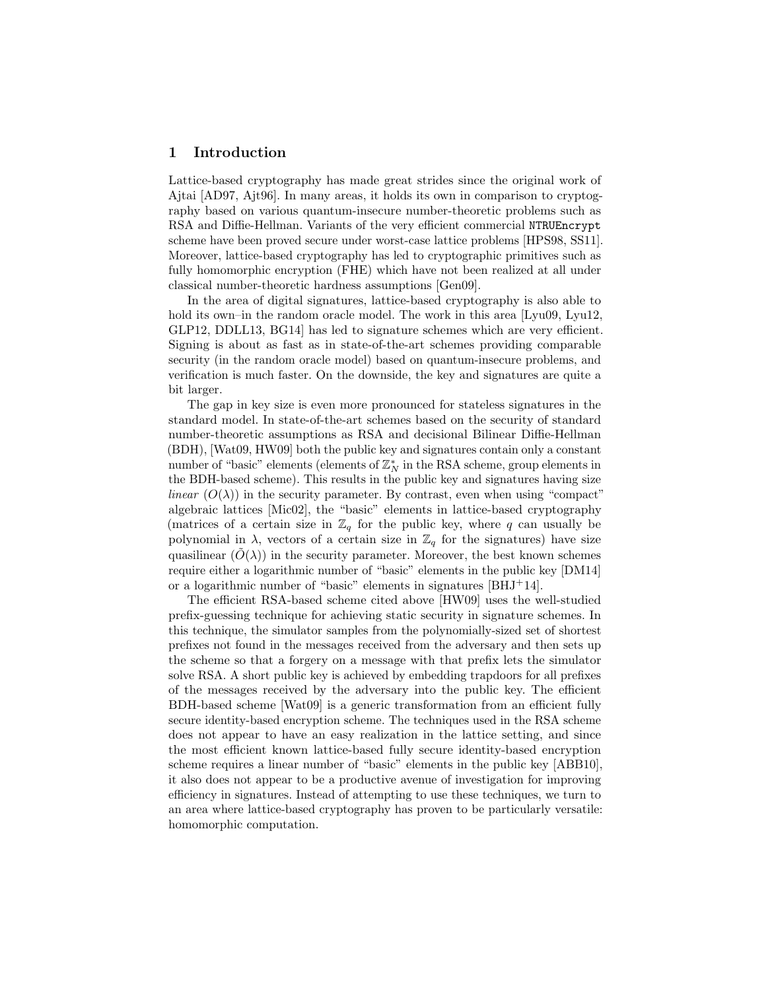## 1 Introduction

Lattice-based cryptography has made great strides since the original work of Ajtai [AD97, Ajt96]. In many areas, it holds its own in comparison to cryptography based on various quantum-insecure number-theoretic problems such as RSA and Diffie-Hellman. Variants of the very efficient commercial NTRUEncrypt scheme have been proved secure under worst-case lattice problems [HPS98, SS11]. Moreover, lattice-based cryptography has led to cryptographic primitives such as fully homomorphic encryption (FHE) which have not been realized at all under classical number-theoretic hardness assumptions [Gen09].

In the area of digital signatures, lattice-based cryptography is also able to hold its own–in the random oracle model. The work in this area [Lyu09, Lyu12, GLP12, DDLL13, BG14] has led to signature schemes which are very efficient. Signing is about as fast as in state-of-the-art schemes providing comparable security (in the random oracle model) based on quantum-insecure problems, and verification is much faster. On the downside, the key and signatures are quite a bit larger.

The gap in key size is even more pronounced for stateless signatures in the standard model. In state-of-the-art schemes based on the security of standard number-theoretic assumptions as RSA and decisional Bilinear Diffie-Hellman (BDH), [Wat09, HW09] both the public key and signatures contain only a constant number of "basic" elements (elements of  $\mathbb{Z}_N^*$  in the RSA scheme, group elements in the BDH-based scheme). This results in the public key and signatures having size *linear*  $(O(\lambda))$  in the security parameter. By contrast, even when using "compact" algebraic lattices [Mic02], the "basic" elements in lattice-based cryptography (matrices of a certain size in  $\mathbb{Z}_q$  for the public key, where q can usually be polynomial in  $\lambda$ , vectors of a certain size in  $\mathbb{Z}_q$  for the signatures) have size quasilinear  $(\tilde{O}(\lambda))$  in the security parameter. Moreover, the best known schemes require either a logarithmic number of "basic" elements in the public key [DM14] or a logarithmic number of "basic" elements in signatures [BHJ+14].

The efficient RSA-based scheme cited above [HW09] uses the well-studied prefix-guessing technique for achieving static security in signature schemes. In this technique, the simulator samples from the polynomially-sized set of shortest prefixes not found in the messages received from the adversary and then sets up the scheme so that a forgery on a message with that prefix lets the simulator solve RSA. A short public key is achieved by embedding trapdoors for all prefixes of the messages received by the adversary into the public key. The efficient BDH-based scheme [Wat09] is a generic transformation from an efficient fully secure identity-based encryption scheme. The techniques used in the RSA scheme does not appear to have an easy realization in the lattice setting, and since the most efficient known lattice-based fully secure identity-based encryption scheme requires a linear number of "basic" elements in the public key [ABB10], it also does not appear to be a productive avenue of investigation for improving efficiency in signatures. Instead of attempting to use these techniques, we turn to an area where lattice-based cryptography has proven to be particularly versatile: homomorphic computation.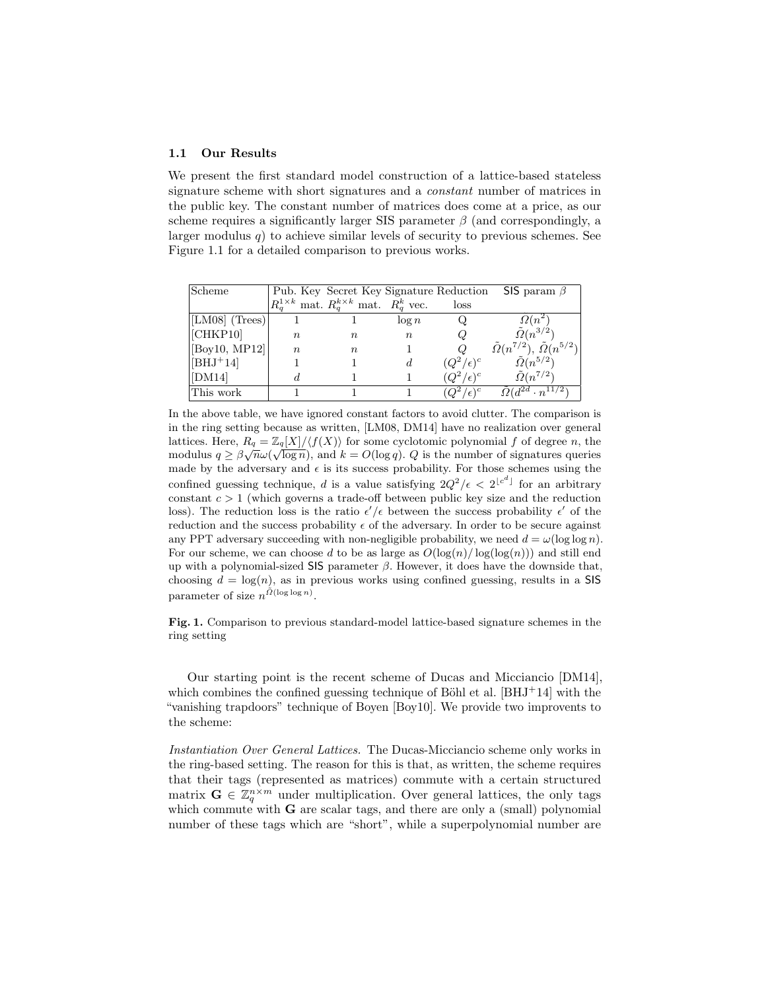## 1.1 Our Results

We present the first standard model construction of a lattice-based stateless signature scheme with short signatures and a constant number of matrices in the public key. The constant number of matrices does come at a price, as our scheme requires a significantly larger SIS parameter  $\beta$  (and correspondingly, a larger modulus  $q$ ) to achieve similar levels of security to previous schemes. See Figure 1.1 for a detailed comparison to previous works.

| Scheme             |                  | Pub. Key Secret Key Signature Reduction                    |          |                    | SIS param $\beta$                                  |
|--------------------|------------------|------------------------------------------------------------|----------|--------------------|----------------------------------------------------|
|                    |                  | $R_q^{1\times k}$ mat. $R_q^{k\times k}$ mat. $R_q^k$ vec. |          | loss               |                                                    |
| [LM08] $(Trees)$ ] |                  |                                                            | $\log n$ |                    | $\Omega(n^2)$                                      |
| [CHKP10]           | $n_{\rm c}$      | $n_{\rm}$                                                  | $\,n$    | Q                  | $\tilde{\Omega}(n^{3/2})$                          |
| [Boy10, MP12]      | $\boldsymbol{n}$ | $n_{\rm}$                                                  |          |                    | $\tilde{\Omega}(n^{7/2}), \tilde{\Omega}(n^{5/2})$ |
| $[BHJ^+14]$        |                  |                                                            | d.       | $(Q^2/\epsilon)^c$ | $\tilde{\Omega}(n^{5/2})$                          |
| [DM14]             |                  |                                                            |          | $(Q^2/\epsilon)^c$ | $\tilde{\Omega}(n^{7/2})$                          |
| This work          |                  |                                                            |          |                    | $\tilde{\Omega}(d^{2d} \cdot n^{11/2})$            |

In the above table, we have ignored constant factors to avoid clutter. The comparison is in the ring setting because as written, [LM08, DM14] have no realization over general lattices. Here,  $R_q = \mathbb{Z}_q[X]/\langle f(X) \rangle$  for some cyclotomic polynomial f of degree n, the modulus  $q \geq \beta \sqrt{n} \omega(\sqrt{\log n})$ , and  $k = O(\log q)$ . Q is the number of signatures queries made by the adversary and  $\epsilon$  is its success probability. For those schemes using the confined guessing technique, d is a value satisfying  $2Q^2/\epsilon < 2^{\lfloor c^d \rfloor}$  for an arbitrary constant  $c > 1$  (which governs a trade-off between public key size and the reduction loss). The reduction loss is the ratio  $\epsilon'/\epsilon$  between the success probability  $\epsilon'$  of the reduction and the success probability  $\epsilon$  of the adversary. In order to be secure against any PPT adversary succeeding with non-negligible probability, we need  $d = \omega(\log \log n)$ . For our scheme, we can choose d to be as large as  $O(\log(n)/\log(\log(n)))$  and still end up with a polynomial-sized SIS parameter  $\beta$ . However, it does have the downside that, choosing  $d = \log(n)$ , as in previous works using confined guessing, results in a SIS parameter of size  $n^{\tilde{O}(\log \log n)}$ .

Fig. 1. Comparison to previous standard-model lattice-based signature schemes in the ring setting

Our starting point is the recent scheme of Ducas and Micciancio [DM14], which combines the confined guessing technique of Böhl et al.  $[BHJ+14]$  with the "vanishing trapdoors" technique of Boyen [Boy10]. We provide two improvents to the scheme:

Instantiation Over General Lattices. The Ducas-Micciancio scheme only works in the ring-based setting. The reason for this is that, as written, the scheme requires that their tags (represented as matrices) commute with a certain structured matrix  $\mathbf{G} \in \mathbb{Z}_q^{n \times m}$  under multiplication. Over general lattices, the only tags which commute with  $G$  are scalar tags, and there are only a (small) polynomial number of these tags which are "short", while a superpolynomial number are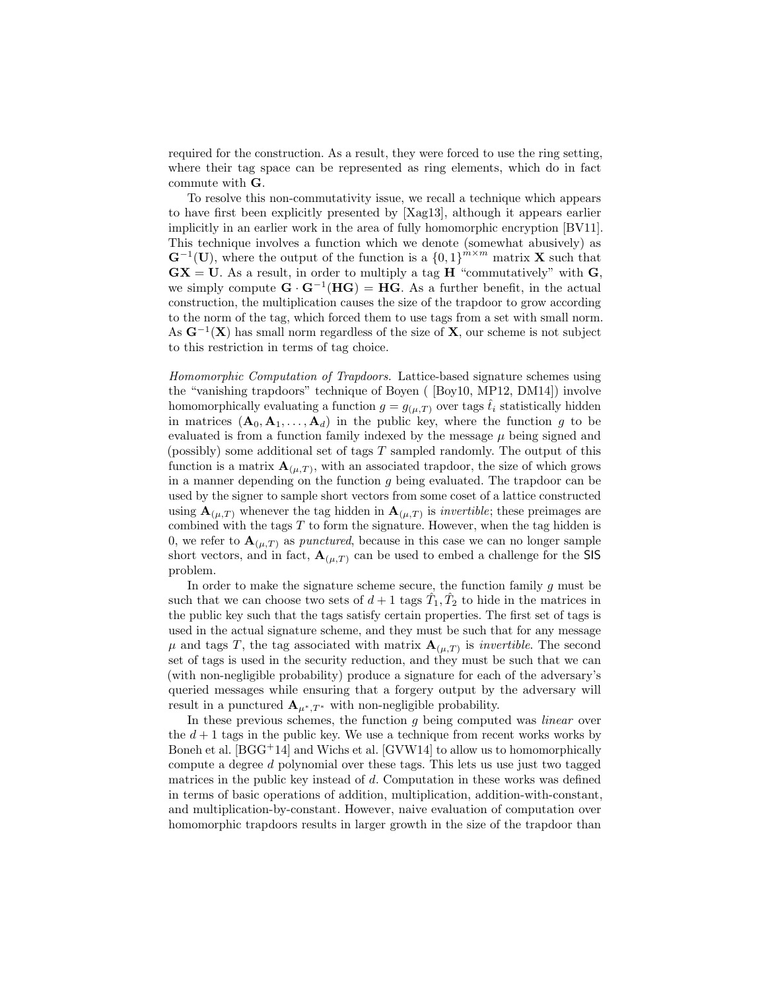required for the construction. As a result, they were forced to use the ring setting, where their tag space can be represented as ring elements, which do in fact commute with G.

To resolve this non-commutativity issue, we recall a technique which appears to have first been explicitly presented by [Xag13], although it appears earlier implicitly in an earlier work in the area of fully homomorphic encryption [BV11]. This technique involves a function which we denote (somewhat abusively) as  $\mathbf{G}^{-1}(\mathbf{U})$ , where the output of the function is a  $\{0,1\}^{m \times m}$  matrix **X** such that  $\mathbf{G}\mathbf{X} = \mathbf{U}$ . As a result, in order to multiply a tag **H** "commutatively" with **G**, we simply compute  $\mathbf{G} \cdot \mathbf{G}^{-1}(\mathbf{H}\mathbf{G}) = \mathbf{H}\mathbf{G}$ . As a further benefit, in the actual construction, the multiplication causes the size of the trapdoor to grow according to the norm of the tag, which forced them to use tags from a set with small norm. As  $G^{-1}(X)$  has small norm regardless of the size of X, our scheme is not subject to this restriction in terms of tag choice.

Homomorphic Computation of Trapdoors. Lattice-based signature schemes using the "vanishing trapdoors" technique of Boyen ( [Boy10, MP12, DM14]) involve homomorphically evaluating a function  $g = g_{(\mu,T)}$  over tags  $\hat{t}_i$  statistically hidden in matrices  $(A_0, A_1, \ldots, A_d)$  in the public key, where the function g to be evaluated is from a function family indexed by the message  $\mu$  being signed and (possibly) some additional set of tags  $T$  sampled randomly. The output of this function is a matrix  $\mathbf{A}_{(\mu,T)}$ , with an associated trapdoor, the size of which grows in a manner depending on the function  $g$  being evaluated. The trapdoor can be used by the signer to sample short vectors from some coset of a lattice constructed using  $\mathbf{A}_{(\mu,T)}$  whenever the tag hidden in  $\mathbf{A}_{(\mu,T)}$  is *invertible*; these preimages are combined with the tags  $T$  to form the signature. However, when the tag hidden is 0, we refer to  $\mathbf{A}_{(\mu,T)}$  as *punctured*, because in this case we can no longer sample short vectors, and in fact,  $\mathbf{A}_{(\mu,T)}$  can be used to embed a challenge for the SIS problem.

In order to make the signature scheme secure, the function family g must be such that we can choose two sets of  $d+1$  tags  $\hat{T}_1, \hat{T}_2$  to hide in the matrices in the public key such that the tags satisfy certain properties. The first set of tags is used in the actual signature scheme, and they must be such that for any message  $\mu$  and tags T, the tag associated with matrix  $\mathbf{A}_{(\mu,T)}$  is *invertible*. The second set of tags is used in the security reduction, and they must be such that we can (with non-negligible probability) produce a signature for each of the adversary's queried messages while ensuring that a forgery output by the adversary will result in a punctured  $\mathbf{A}_{\mu^*,T^*}$  with non-negligible probability.

In these previous schemes, the function  $g$  being computed was *linear* over the  $d+1$  tags in the public key. We use a technique from recent works works by Boneh et al.  $[BGG^+14]$  and Wichs et al.  $[GVW14]$  to allow us to homomorphically compute a degree d polynomial over these tags. This lets us use just two tagged matrices in the public key instead of d. Computation in these works was defined in terms of basic operations of addition, multiplication, addition-with-constant, and multiplication-by-constant. However, naive evaluation of computation over homomorphic trapdoors results in larger growth in the size of the trapdoor than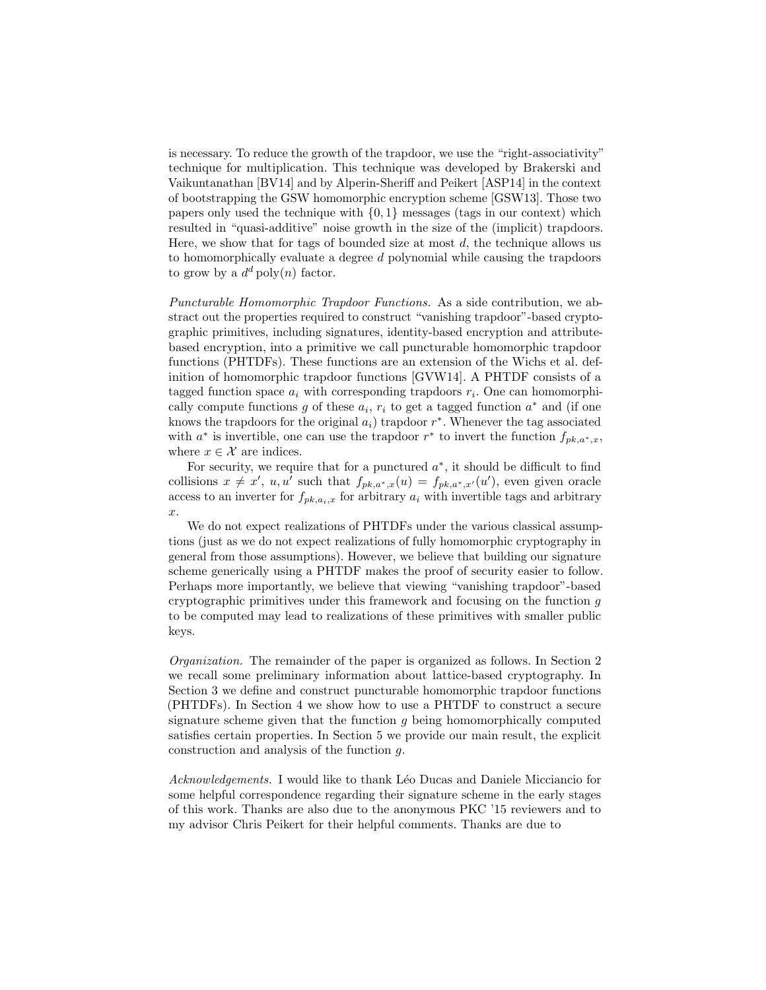is necessary. To reduce the growth of the trapdoor, we use the "right-associativity" technique for multiplication. This technique was developed by Brakerski and Vaikuntanathan [BV14] and by Alperin-Sheriff and Peikert [ASP14] in the context of bootstrapping the GSW homomorphic encryption scheme [GSW13]. Those two papers only used the technique with  $\{0, 1\}$  messages (tags in our context) which resulted in "quasi-additive" noise growth in the size of the (implicit) trapdoors. Here, we show that for tags of bounded size at most  $d$ , the technique allows us to homomorphically evaluate a degree d polynomial while causing the trapdoors to grow by a  $d^d$  poly $(n)$  factor.

Puncturable Homomorphic Trapdoor Functions. As a side contribution, we abstract out the properties required to construct "vanishing trapdoor"-based cryptographic primitives, including signatures, identity-based encryption and attributebased encryption, into a primitive we call puncturable homomorphic trapdoor functions (PHTDFs). These functions are an extension of the Wichs et al. definition of homomorphic trapdoor functions [GVW14]. A PHTDF consists of a tagged function space  $a_i$  with corresponding trapdoors  $r_i$ . One can homomorphically compute functions g of these  $a_i$ ,  $r_i$  to get a tagged function  $a^*$  and (if one knows the trapdoors for the original  $a_i$ ) trapdoor  $r^*$ . Whenever the tag associated with  $a^*$  is invertible, one can use the trapdoor  $r^*$  to invert the function  $f_{pk,a^*,x}$ , where  $x \in \mathcal{X}$  are indices.

For security, we require that for a punctured  $a^*$ , it should be difficult to find collisions  $x \neq x'$ ,  $u, u'$  such that  $f_{pk, a^*, x}(u) = f_{pk, a^*, x'}(u')$ , even given oracle access to an inverter for  $f_{pk,a_i,x}$  for arbitrary  $a_i$  with invertible tags and arbitrary  $\mathcal{X}$ .

We do not expect realizations of PHTDFs under the various classical assumptions (just as we do not expect realizations of fully homomorphic cryptography in general from those assumptions). However, we believe that building our signature scheme generically using a PHTDF makes the proof of security easier to follow. Perhaps more importantly, we believe that viewing "vanishing trapdoor"-based cryptographic primitives under this framework and focusing on the function  $q$ to be computed may lead to realizations of these primitives with smaller public keys.

Organization. The remainder of the paper is organized as follows. In Section 2 we recall some preliminary information about lattice-based cryptography. In Section 3 we define and construct puncturable homomorphic trapdoor functions (PHTDFs). In Section 4 we show how to use a PHTDF to construct a secure signature scheme given that the function  $g$  being homomorphically computed satisfies certain properties. In Section 5 we provide our main result, the explicit construction and analysis of the function g.

Acknowledgements. I would like to thank Léo Ducas and Daniele Micciancio for some helpful correspondence regarding their signature scheme in the early stages of this work. Thanks are also due to the anonymous PKC '15 reviewers and to my advisor Chris Peikert for their helpful comments. Thanks are due to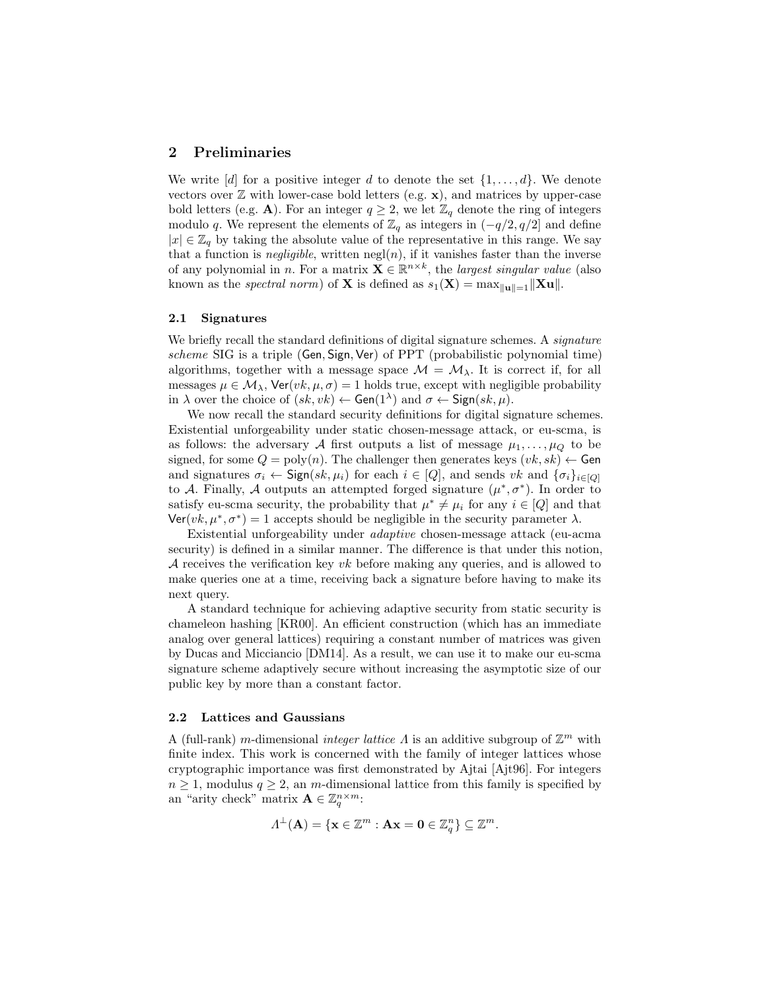# 2 Preliminaries

We write  $[d]$  for a positive integer d to denote the set  $\{1,\ldots,d\}$ . We denote vectors over  $\mathbb Z$  with lower-case bold letters (e.g.  $\mathbf x$ ), and matrices by upper-case bold letters (e.g. A). For an integer  $q \geq 2$ , we let  $\mathbb{Z}_q$  denote the ring of integers modulo q. We represent the elements of  $\mathbb{Z}_q$  as integers in  $(-q/2, q/2]$  and define  $|x| \in \mathbb{Z}_q$  by taking the absolute value of the representative in this range. We say that a function is *negligible*, written  $negl(n)$ , if it vanishes faster than the inverse of any polynomial in n. For a matrix  $\mathbf{X} \in \mathbb{R}^{n \times k}$ , the *largest singular value* (also known as the *spectral norm*) of **X** is defined as  $s_1(\mathbf{X}) = \max_{\|\mathbf{u}\| = 1} \|\mathbf{X}\mathbf{u}\|$ .

#### 2.1 Signatures

We briefly recall the standard definitions of digital signature schemes. A *signature* scheme SIG is a triple (Gen, Sign, Ver) of PPT (probabilistic polynomial time) algorithms, together with a message space  $\mathcal{M} = \mathcal{M}_{\lambda}$ . It is correct if, for all messages  $\mu \in \mathcal{M}_{\lambda}$ , Ver $(vk, \mu, \sigma) = 1$  holds true, except with negligible probability in  $\lambda$  over the choice of  $(sk, vk) \leftarrow$  Gen $(1^{\lambda})$  and  $\sigma \leftarrow$  Sign $(sk, \mu)$ .

We now recall the standard security definitions for digital signature schemes. Existential unforgeability under static chosen-message attack, or eu-scma, is as follows: the adversary A first outputs a list of message  $\mu_1, \ldots, \mu_Q$  to be signed, for some  $Q = \text{poly}(n)$ . The challenger then generates keys  $(vk, sk) \leftarrow$  Gen and signatures  $\sigma_i \leftarrow \mathsf{Sign}(sk, \mu_i)$  for each  $i \in [Q]$ , and sends vk and  $\{\sigma_i\}_{i \in [Q]}$ to A. Finally, A outputs an attempted forged signature  $(\mu^*, \sigma^*)$ . In order to satisfy eu-scma security, the probability that  $\mu^* \neq \mu_i$  for any  $i \in [Q]$  and that Ver( $vk, \mu^*, \sigma^*$ ) = 1 accepts should be negligible in the security parameter  $\lambda$ .

Existential unforgeability under adaptive chosen-message attack (eu-acma security) is defined in a similar manner. The difference is that under this notion, A receives the verification key  $vk$  before making any queries, and is allowed to make queries one at a time, receiving back a signature before having to make its next query.

A standard technique for achieving adaptive security from static security is chameleon hashing [KR00]. An efficient construction (which has an immediate analog over general lattices) requiring a constant number of matrices was given by Ducas and Micciancio [DM14]. As a result, we can use it to make our eu-scma signature scheme adaptively secure without increasing the asymptotic size of our public key by more than a constant factor.

#### 2.2 Lattices and Gaussians

A (full-rank) m-dimensional *integer lattice A* is an additive subgroup of  $\mathbb{Z}^m$  with finite index. This work is concerned with the family of integer lattices whose cryptographic importance was first demonstrated by Ajtai [Ajt96]. For integers  $n \geq 1$ , modulus  $q \geq 2$ , an m-dimensional lattice from this family is specified by an "arity check" matrix  $\mathbf{A} \in \mathbb{Z}_q^{n \times m}$ :

$$
\Lambda^{\perp}(\mathbf{A}) = \{ \mathbf{x} \in \mathbb{Z}^m : \mathbf{A}\mathbf{x} = \mathbf{0} \in \mathbb{Z}_q^n \} \subseteq \mathbb{Z}^m.
$$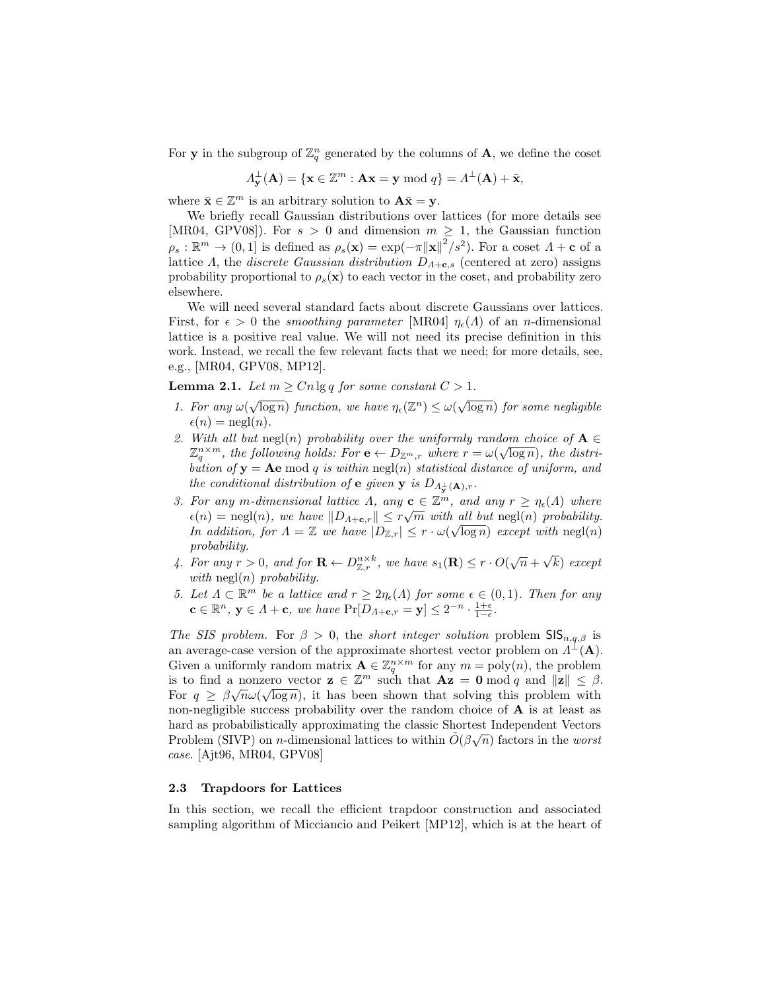For **y** in the subgroup of  $\mathbb{Z}_q^n$  generated by the columns of **A**, we define the coset

$$
\Lambda_{\mathbf{y}}^{\perp}(\mathbf{A}) = \{ \mathbf{x} \in \mathbb{Z}^m : \mathbf{A}\mathbf{x} = \mathbf{y} \bmod q \} = \Lambda^{\perp}(\mathbf{A}) + \bar{\mathbf{x}},
$$

where  $\bar{\mathbf{x}} \in \mathbb{Z}^m$  is an arbitrary solution to  $\mathbf{A}\bar{\mathbf{x}} = \mathbf{y}$ .

We briefly recall Gaussian distributions over lattices (for more details see [MR04, GPV08]). For  $s > 0$  and dimension  $m \geq 1$ , the Gaussian function  $\rho_s : \mathbb{R}^m \to (0,1]$  is defined as  $\rho_s(\mathbf{x}) = \exp(-\pi ||\mathbf{x}||^2 / s^2)$ . For a coset  $\Lambda + \mathbf{c}$  of a lattice Λ, the *discrete Gaussian distribution*  $D_{\Lambda+\mathbf{c},s}$  (centered at zero) assigns probability proportional to  $\rho_s(\mathbf{x})$  to each vector in the coset, and probability zero elsewhere.

We will need several standard facts about discrete Gaussians over lattices. First, for  $\epsilon > 0$  the *smoothing parameter* [MR04]  $\eta_{\epsilon}(A)$  of an *n*-dimensional lattice is a positive real value. We will not need its precise definition in this work. Instead, we recall the few relevant facts that we need; for more details, see, e.g., [MR04, GPV08, MP12].

**Lemma 2.1.** Let  $m \geq Cn \lg q$  for some constant  $C > 1$ .

- 1. For any  $\omega(\sqrt{\log n})$  function, we have  $\eta_{\epsilon}(\mathbb{Z}^n) \leq \omega(\sqrt{\log n})$  for some negligible  $\epsilon(n) = \text{negl}(n).$
- 2. With all but  $\text{neg}(n)$  probability over the uniformly random choice of  $A \in \mathbb{R}^{n \times m}$  $\mathbb{Z}_q^{n \times m}$ , the following holds: For  $e \leftarrow D_{\mathbb{Z}^m,r}$  where  $r = \omega(\sqrt{\log n})$ , the distribution of  $y = Ae \mod q$  is within  $negl(n)$  statistical distance of uniform, and the conditional distribution of **e** given **y** is  $D_{\Lambda_{\mathbf{y}}^{\perp}(\mathbf{A}), r}$ .
- 3. For any m-dimensional lattice  $\Lambda$ , any  $\mathbf{c} \in \mathbb{Z}^m$ , and any  $r \geq \eta_{\epsilon}(\Lambda)$  where  $\epsilon(n) = \text{negl}(n), \text{ we have } ||D_{\Lambda+\mathbf{c},r}|| \leq r\sqrt{m} \text{ with all but } \text{negl}(n) \text{ probability.}$ In addition, for  $\Lambda = \mathbb{Z}$  we have  $|D_{\mathbb{Z},r}| \leq r \cdot \omega(\sqrt{\log n})$  except with  $\text{negl}(n)$ probability. √
- 4. For any  $r > 0$ , and for  $\mathbf{R} \leftarrow D_{\mathbb{Z},r}^{n \times k}$ , we have  $s_1(\mathbf{R}) \leq r \cdot O(\sqrt{n} +$ k) except with  $negl(n)$  probability.
- 5. Let  $\Lambda \subset \mathbb{R}^m$  be a lattice and  $r \geq 2\eta_{\epsilon}(\Lambda)$  for some  $\epsilon \in (0,1)$ . Then for any  $\mathbf{c} \in \mathbb{R}^n$ ,  $\mathbf{y} \in \Lambda + \mathbf{c}$ , we have  $\Pr[D_{\Lambda + \mathbf{c}, r} = \mathbf{y}] \leq 2^{-n} \cdot \frac{1+\epsilon}{1-\epsilon}$ .

The SIS problem. For  $\beta > 0$ , the short integer solution problem SIS<sub>n,q, $\beta$ </sub> is an average-case version of the approximate shortest vector problem on  $A^{\perp}(\mathbf{A})$ . Given a uniformly random matrix  $\mathbf{A} \in \mathbb{Z}_q^{n \times m}$  for any  $m = \text{poly}(n)$ , the problem is to find a nonzero vector  $\mathbf{z} \in \mathbb{Z}^m$  such that  $\mathbf{A}\mathbf{z} = \mathbf{0} \bmod q$  and  $\|\mathbf{z}\| \leq \beta$ . For  $q \geq \beta \sqrt{n} \omega(\sqrt{\log n})$ , it has been shown that solving this problem with non-negligible success probability over the random choice of A is at least as hard as probabilistically approximating the classic Shortest Independent Vectors Problem (SIVP) on *n*-dimensional lattices to within  $\tilde{O}(\beta\sqrt{n})$  factors in the worst case. [Ajt96, MR04, GPV08]

#### 2.3 Trapdoors for Lattices

In this section, we recall the efficient trapdoor construction and associated sampling algorithm of Micciancio and Peikert [MP12], which is at the heart of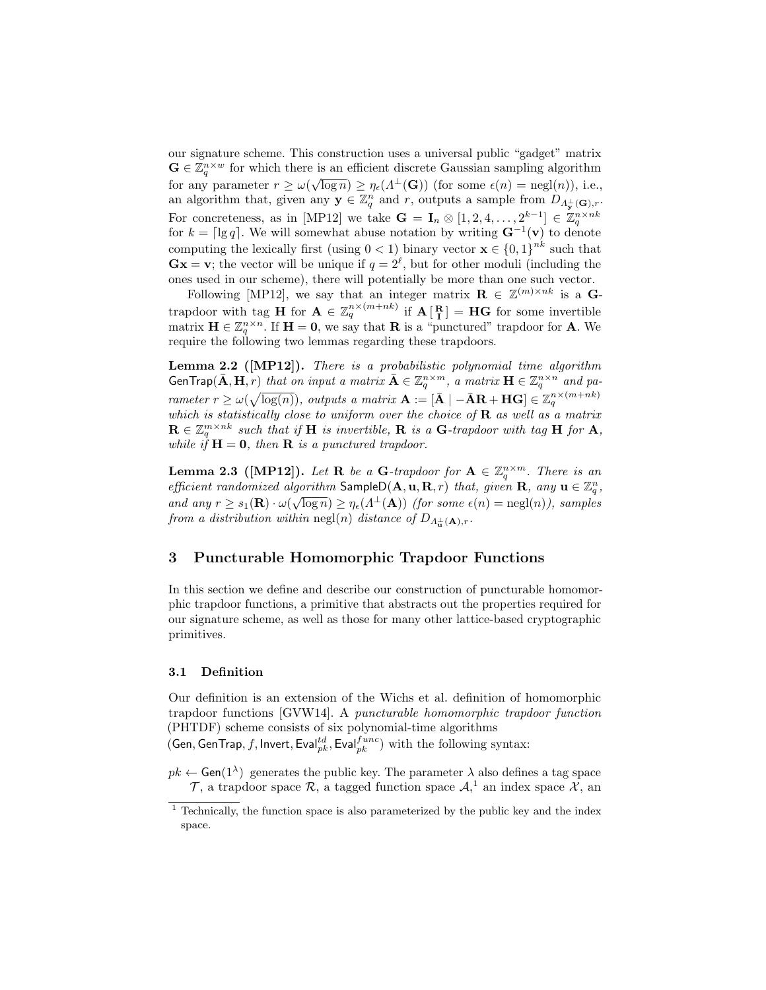our signature scheme. This construction uses a universal public "gadget" matrix  $\mathbf{G} \in \mathbb{Z}_q^{n \times w}$  for which there is an efficient discrete Gaussian sampling algorithm for any parameter  $r \ge \omega(\sqrt{\log n}) \ge \eta_{\epsilon}(\Lambda^{\perp}(\mathbf{G}))$  (for some  $\epsilon(n) = \text{negl}(n)$ ), i.e., an algorithm that, given any  $\mathbf{y} \in \mathbb{Z}_q^n$  and r, outputs a sample from  $D_{\Lambda^{\perp}_{\mathbf{y}}(\mathbf{G}),r}$ . For concreteness, as in [MP12] we take  $\mathbf{G} = \mathbf{I}_n \otimes [1, 2, 4, \dots, 2^{k-1}] \in \mathbb{Z}_q^{n \times nk}$  for  $k = \lceil \lg q \rceil$ . We will somewhat abuse notation by writing  $\mathbf{G}^{-1}(\mathbf{v})$  to denote computing the lexically first (using  $0 < 1$ ) binary vector  $\mathbf{x} \in \{0,1\}^{nk}$  such that  $\mathbf{Gx} = \mathbf{v}$ ; the vector will be unique if  $q = 2^{\ell}$ , but for other moduli (including the ones used in our scheme), there will potentially be more than one such vector.

Following [MP12], we say that an integer matrix  $\mathbf{R} \in \mathbb{Z}^{(m)\times nk}$  is a Gtrapdoor with tag **H** for  $A \in \mathbb{Z}_q^{n \times (m+nk)}$  if  $A\begin{bmatrix} R \\ I \end{bmatrix} = HG$  for some invertible matrix  $\mathbf{H} \in \mathbb{Z}_q^{n \times n}$ . If  $\mathbf{H} = \mathbf{0}$ , we say that **R** is a "punctured" trapdoor for **A**. We require the following two lemmas regarding these trapdoors.

Lemma 2.2 ([MP12]). There is a probabilistic polynomial time algorithm GenTrap $(\bar{\mathbf{A}}, \mathbf{H}, r)$  that on input a matrix  $\bar{\mathbf{A}} \in \mathbb{Z}_q^{n \times m}$ , a matrix  $\mathbf{H} \in \mathbb{Z}_q^{n \times n}$  and parameter  $r \ge \omega(\sqrt{\log(n)})$ , outputs a matrix  $\mathbf{A} := [\bar{\mathbf{A}} \mid -\bar{\mathbf{A}}\mathbf{R} + \mathbf{H}\mathbf{G}] \in \mathbb{Z}_q^{n \times (m+nk)}$ which is statistically close to uniform over the choice of  $\bf{R}$  as well as a matrix  $\mathbf{R} \in \mathbb{Z}_q^{m \times nk}$  such that if H is invertible, R is a G-trapdoor with tag H for A, while if  $H = 0$ , then **R** is a punctured trapdoor.

**Lemma 2.3** ([MP12]). Let R be a G-trapdoor for  $A \in \mathbb{Z}_q^{n \times m}$ . There is an efficient randomized algorithm SampleD( $\mathbf{A}, \mathbf{u}, \mathbf{R}, r$ ) that, given  $\mathbf{R}$ , any  $\mathbf{u} \in \mathbb{Z}_q^n$ , and any  $r \geq s_1(\mathbf{R}) \cdot \omega(\sqrt{\log n}) \geq \eta_{\epsilon}(\Lambda^{\perp}(\mathbf{A}))$  (for some  $\epsilon(n) = \text{negl}(n)$ ), samples from a distribution within negl(n) distance of  $D_{\Lambda_n^{\perp}(\mathbf{A}),r}$ .

# 3 Puncturable Homomorphic Trapdoor Functions

In this section we define and describe our construction of puncturable homomorphic trapdoor functions, a primitive that abstracts out the properties required for our signature scheme, as well as those for many other lattice-based cryptographic primitives.

## 3.1 Definition

Our definition is an extension of the Wichs et al. definition of homomorphic trapdoor functions [GVW14]. A puncturable homomorphic trapdoor function (PHTDF) scheme consists of six polynomial-time algorithms (Gen, GenTrap, f, Invert, Eval $_{pk}^{td}$ , Eval $_{pk}^{func}$ ) with the following syntax:

 $pk \leftarrow$  Gen(1<sup> $\lambda$ </sup>) generates the public key. The parameter  $\lambda$  also defines a tag space

 $\mathcal{T}$ , a trapdoor space  $\mathcal{R}$ , a tagged function space  $\mathcal{A}$ , an index space  $\mathcal{X}$ , an

 $\frac{1}{1}$  Technically, the function space is also parameterized by the public key and the index space.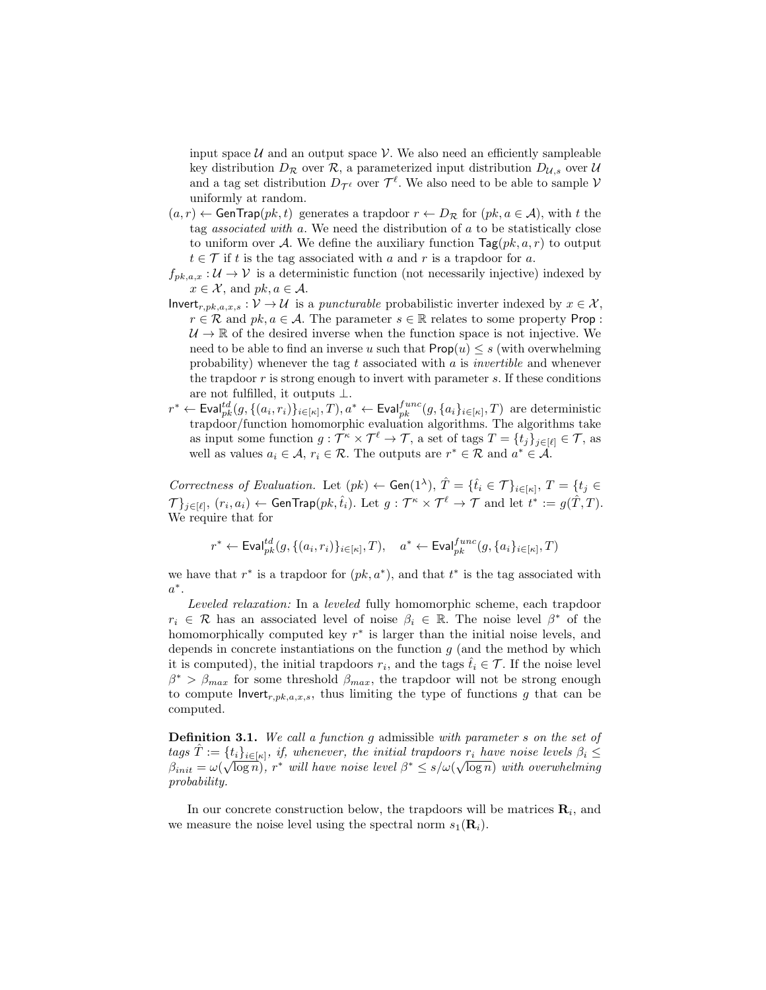input space  $U$  and an output space  $V$ . We also need an efficiently sampleable key distribution  $D_{\mathcal{R}}$  over  $\mathcal{R}$ , a parameterized input distribution  $D_{\mathcal{U},s}$  over  $\mathcal{U}$ and a tag set distribution  $D_{\mathcal{T}^{\ell}}$  over  $\mathcal{T}^{\ell}$ . We also need to be able to sample V uniformly at random.

- $(a, r) \leftarrow$  GenTrap $(pk, t)$  generates a trapdoor  $r \leftarrow D_{\mathcal{R}}$  for  $(pk, a \in \mathcal{A})$ , with t the tag associated with a. We need the distribution of a to be statistically close to uniform over A. We define the auxiliary function  $\text{Tag}(pk, a, r)$  to output  $t \in \mathcal{T}$  if t is the tag associated with a and r is a trapdoor for a.
- $f_{pk,a,x}: \mathcal{U} \to \mathcal{V}$  is a deterministic function (not necessarily injective) indexed by  $x \in \mathcal{X}$ , and  $pk, a \in \mathcal{A}$ .
- Invert<sub>r,pk,a,x,s</sub> :  $V \rightarrow U$  is a *puncturable* probabilistic inverter indexed by  $x \in \mathcal{X}$ ,  $r \in \mathcal{R}$  and  $pk, a \in \mathcal{A}$ . The parameter  $s \in \mathbb{R}$  relates to some property Prop:  $U \rightarrow \mathbb{R}$  of the desired inverse when the function space is not injective. We need to be able to find an inverse u such that  $\text{Prop}(u) \leq s$  (with overwhelming probability) whenever the tag t associated with  $a$  is *invertible* and whenever the trapdoor  $r$  is strong enough to invert with parameter  $s$ . If these conditions are not fulfilled, it outputs ⊥.
- $r^* \leftarrow \textsf{Eval}^{td}_{pk}(g, \{(a_i, r_i)\}_{i \in [\kappa]}, T), a^* \leftarrow \textsf{Eval}^{func}_{pk}(g, \{a_i\}_{i \in [\kappa]}, T)$  are deterministic trapdoor/function homomorphic evaluation algorithms. The algorithms take as input some function  $g: \mathcal{T}^{\kappa} \times \mathcal{T}^{\ell} \to \mathcal{T}$ , a set of tags  $T = \{t_j\}_{j \in [\ell]} \in \mathcal{T}$ , as well as values  $a_i \in \mathcal{A}$ ,  $r_i \in \mathcal{R}$ . The outputs are  $r^* \in \mathcal{R}$  and  $a^* \in \mathcal{A}$ .

Correctness of Evaluation. Let  $(pk) \leftarrow$  Gen $(1^{\lambda})$ ,  $\hat{T} = \{\hat{t}_i \in \mathcal{T}\}_{i \in [\kappa]}, T = \{t_j \in$  $\mathcal{T} \}_{j \in [\ell]}, (r_i, a_i) \leftarrow \mathsf{GenTrap}(pk, \hat{t}_i)$ . Let  $g: \mathcal{T}^\kappa \times \mathcal{T}^\ell \rightarrow \mathcal{T}$  and let  $t^* := g(\hat{T}, T)$ . We require that for

$$
r^* \leftarrow \textsf{Eval}^{td}_{pk}(g, \{(a_i, r_i)\}_{i \in [\kappa]}, T), \quad a^* \leftarrow \textsf{Eval}^{func}_{pk}(g, \{a_i\}_{i \in [\kappa]}, T)
$$

we have that  $r^*$  is a trapdoor for  $(pk, a^*)$ , and that  $t^*$  is the tag associated with  $a^*$ .

Leveled relaxation: In a leveled fully homomorphic scheme, each trapdoor  $r_i \in \mathcal{R}$  has an associated level of noise  $\beta_i \in \mathbb{R}$ . The noise level  $\beta^*$  of the homomorphically computed key  $r^*$  is larger than the initial noise levels, and depends in concrete instantiations on the function  $q$  (and the method by which it is computed), the initial trapdoors  $r_i$ , and the tags  $\hat{t}_i \in \mathcal{T}$ . If the noise level  $\beta^*$  >  $\beta_{max}$  for some threshold  $\beta_{max}$ , the trapdoor will not be strong enough to compute  $\textsf{Invert}_{r,pk,a,x,s}$ , thus limiting the type of functions g that can be computed.

**Definition 3.1.** We call a function g admissible with parameter s on the set of tags  $\hat{T} := \{t_i\}_{i \in [\kappa]}, \text{ if, whenever, the initial trapdoors } r_i \text{ have noise levels } \beta_i \leq$  $\beta_{init} = \omega(\sqrt{\log n})$ ,  $r^*$  will have noise level  $\beta^* \leq s/\omega(\sqrt{\log n})$  with overwhelming probability.

In our concrete construction below, the trapdoors will be matrices  $\mathbf{R}_i$ , and we measure the noise level using the spectral norm  $s_1(\mathbf{R}_i)$ .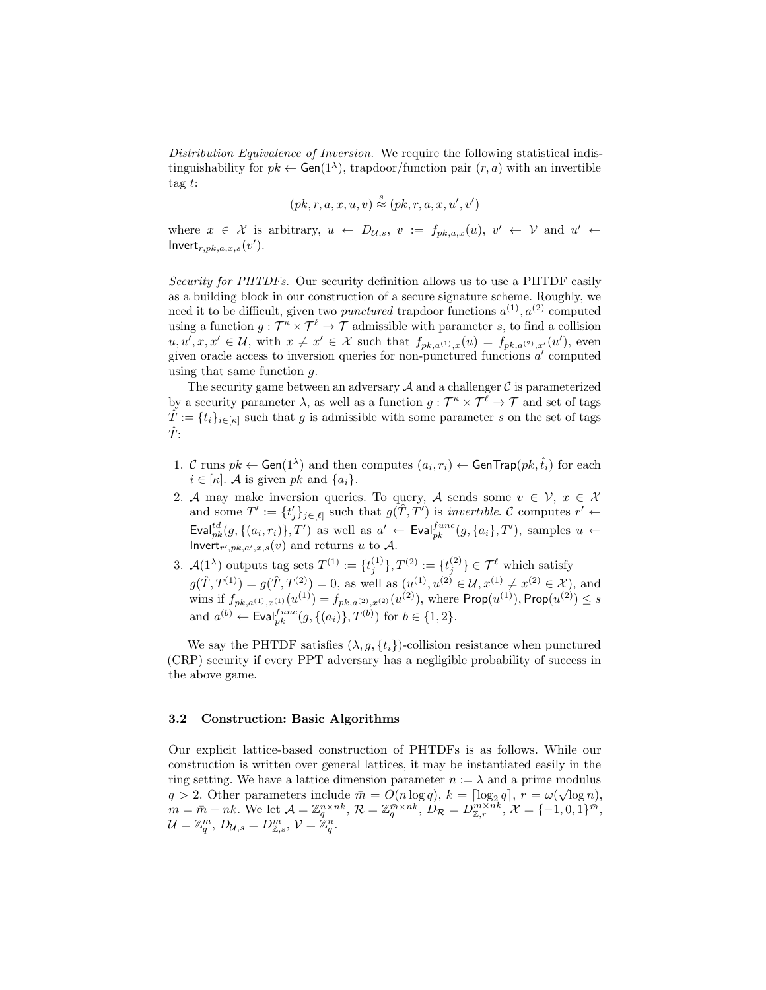Distribution Equivalence of Inversion. We require the following statistical indistinguishability for  $pk \leftarrow Gen(1^{\lambda})$ , trapdoor/function pair  $(r, a)$  with an invertible tag  $t$ :

$$
(pk, r, a, x, u, v) \stackrel{s}{\approx} (pk, r, a, x, u', v')
$$

where  $x \in \mathcal{X}$  is arbitrary,  $u \leftarrow D_{\mathcal{U},s}$ ,  $v := f_{pk,a,x}(u)$ ,  $v' \leftarrow \mathcal{V}$  and  $u' \leftarrow$ Invert $r_{r,pk,a,x,s}(v')$ .

Security for PHTDFs. Our security definition allows us to use a PHTDF easily as a building block in our construction of a secure signature scheme. Roughly, we need it to be difficult, given two *punctured* trapdoor functions  $a^{(1)}$ ,  $a^{(2)}$  computed using a function  $g: \mathcal{T}^{\kappa} \times \mathcal{T}^{\ell} \to \mathcal{T}$  admissible with parameter s, to find a collision  $u, u', x, x' \in \mathcal{U}$ , with  $x \neq x' \in \mathcal{X}$  such that  $f_{pk,a^{(1)},x}(u) = f_{pk,a^{(2)},x'}(u')$ , even given oracle access to inversion queries for non-punctured functions  $a'$  computed using that same function g.

The security game between an adversary  $\mathcal A$  and a challenger  $\mathcal C$  is parameterized by a security parameter  $\lambda$ , as well as a function  $g: \mathcal{T}^{\kappa} \times \mathcal{T}^{\ell} \to \mathcal{T}$  and set of tags  $\hat{T} := \{t_i\}_{i \in [\kappa]}$  such that g is admissible with some parameter s on the set of tags  $\hat{T}$ :

- 1. C runs  $pk \leftarrow$  Gen(1<sup> $\lambda$ </sup>) and then computes  $(a_i, r_i) \leftarrow$  GenTrap( $pk$ ,  $\hat{t}_i$ ) for each  $i \in [\kappa]$ . A is given pk and  $\{a_i\}$ .
- 2. A may make inversion queries. To query, A sends some  $v \in \mathcal{V}, x \in \mathcal{X}$ and some  $T' := \{t'_j\}_{j \in [\ell]}$  such that  $g(T, T')$  is invertible. C computes  $r' \leftarrow$  $\textsf{Eval}^{td}_{pk}(g, \{(a_i, r_i)\}, T')$  as well as  $a' \leftarrow \textsf{Eval}^{func}_{pk}(g, \{a_i\}, T')$ , samples  $u \leftarrow$ Invert<sub>r',pk,a',x,s</sub>(v) and returns u to A.
- 3.  $\mathcal{A}(1^{\lambda})$  outputs tag sets  $T^{(1)} := \{t_j^{(1)}\}, T^{(2)} := \{t_j^{(2)}\} \in \mathcal{T}^{\ell}$  which satisfy  $g(\hat{T}, T^{(1)}) = g(\hat{T}, T^{(2)}) = 0$ , as well as  $(u^{(1)}, u^{(2)} \in \mathcal{U}, x^{(1)} \neq x^{(2)} \in \mathcal{X})$ , and wins if  $f_{pk, a^{(1)}, x^{(1)}}(u^{(1)}) = f_{pk, a^{(2)}, x^{(2)}}(u^{(2)})$ , where  $\mathsf{Prop}(u^{(1)})$ ,  $\mathsf{Prop}(u^{(2)}) \leq s$ and  $a^{(b)} \leftarrow \text{Eval}_{pk}^{func}(g, \{(a_i)\}, T^{(b)})$  for  $b \in \{1, 2\}.$

We say the PHTDF satisfies  $(\lambda, q, \{t_i\})$ -collision resistance when punctured (CRP) security if every PPT adversary has a negligible probability of success in the above game.

#### 3.2 Construction: Basic Algorithms

Our explicit lattice-based construction of PHTDFs is as follows. While our construction is written over general lattices, it may be instantiated easily in the ring setting. We have a lattice dimension parameter  $n := \lambda$  and a prime modulus ring setting. We have a lattice dimension parameter  $n := \lambda$  and a prime modulus  $q > 2$ . Other parameters include  $\bar{m} = O(n \log q)$ ,  $k = \lceil \log_2 q \rceil$ ,  $r = \omega(\sqrt{\log n})$ ,  $m = \bar{m} + nk.$  We let  $\mathcal{A} = \mathbb{Z}_q^{n \times nk}, \mathcal{R} = \mathbb{Z}_q^{\bar{m} \times nk}, D_{\mathcal{R}} = D_{\mathbb{Z},r}^{\bar{m} \times nk}, \mathcal{X} = \{-1,0,1\}^{\bar{m}},$  $\mathcal{U}=\mathbb{Z}_q^m,\, D_{\mathcal{U},s}=D^m_{\mathbb{Z},s},\, \mathcal{V}=\mathbb{\overset{\circ}{\mathbb{Z}}}{}_q^n.$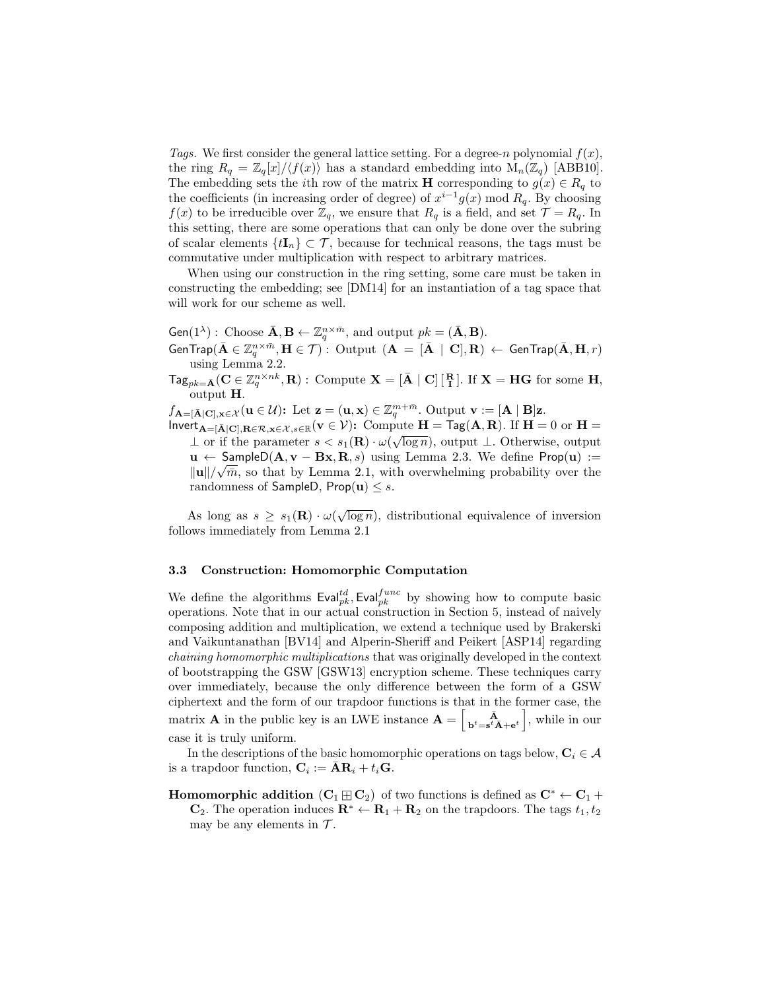Tags. We first consider the general lattice setting. For a degree-n polynomial  $f(x)$ , the ring  $R_q = \mathbb{Z}_q[x]/\langle f(x) \rangle$  has a standard embedding into  $M_n(\mathbb{Z}_q)$  [ABB10]. The embedding sets the *i*<sup>th</sup> row of the matrix **H** corresponding to  $g(x) \in R_q$  to the coefficients (in increasing order of degree) of  $x^{i-1}g(x) \mod R_q$ . By choosing  $f(x)$  to be irreducible over  $\mathbb{Z}_q$ , we ensure that  $R_q$  is a field, and set  $\mathcal{T} = R_q$ . In this setting, there are some operations that can only be done over the subring of scalar elements  $\{tI_n\} \subset \mathcal{T}$ , because for technical reasons, the tags must be commutative under multiplication with respect to arbitrary matrices.

When using our construction in the ring setting, some care must be taken in constructing the embedding; see [DM14] for an instantiation of a tag space that will work for our scheme as well.

Gen(1<sup> $\lambda$ </sup>): Choose  $\bar{\mathbf{A}}, \mathbf{B} \leftarrow \mathbb{Z}_q^{n \times \bar{m}}$ , and output  $pk = (\bar{\mathbf{A}}, \mathbf{B})$ .  $\mathsf{GenTrap}(\bar{\mathbf{A}}\in \mathbb{Z}_q^{n\times \bar{m}}, \mathbf{H}\in \mathcal{T})\text{ : Output } (\mathbf{A}\ =\ [\bar{\mathbf{A}}\ \ | \ \mathbf{C}],\mathbf{R})\ \leftarrow\ \mathsf{GenTrap}(\bar{\mathbf{A}},\mathbf{H},r)$ using Lemma 2.2.

 $\mathsf{Tag}_{pk=\tilde{\mathbf{A}}}(\mathbf{C}\in\mathbb{Z}_q^{n\times nk},\mathbf{R}): \text{ Compute } \mathbf{X}=[\bar{\mathbf{A}}\mid \mathbf{C}]\left[\begin{smallmatrix}\mathbf{R}\\ \mathbf{I}\end{smallmatrix}\right]. \text{ If } \mathbf{X}=\mathbf{H}\mathbf{G} \text{ for some } \mathbf{H},$ output H.

 $f_{\mathbf{A}=[\bar{\mathbf{A}}|\mathbf{C}],\mathbf{x}\in\mathcal{X}}(\mathbf{u}\in\mathcal{U})$ : Let  $\mathbf{z}=(\mathbf{u},\mathbf{x})\in\mathbb{Z}_q^{m+\bar{m}}$ . Output  $\mathbf{v}:=[\mathbf{A}\mid\mathbf{B}]\mathbf{z}$ .

 $\textsf{Invert}_{\mathbf{A}=[\bar{\mathbf{A}}] \mathbf{C}], \mathbf{R} \in \mathcal{R}, \mathbf{x} \in \mathcal{X}, s \in \mathbb{R}}(\mathbf{v} \in \mathcal{V})$ : Compute  $\mathbf{H} = \textsf{Tag}(\mathbf{A}, \mathbf{R})$ . If  $\mathbf{H} = 0$  or  $\mathbf{H} =$  $\perp$  or if the parameter  $s < s_1(\mathbf{R}) \cdot \omega(\sqrt{\log n})$ , output  $\perp$ . Otherwise, output **u** ← SampleD( $\mathbf{A}, \mathbf{v} - \mathbf{B}\mathbf{x}, \mathbf{R}, s$ ) using Lemma 2.3. We define Prop( $\mathbf{u}$ ) :=  $\|\mathbf{u}\|/\sqrt{\bar{m}}$ , so that by Lemma 2.1, with overwhelming probability over the randomness of SampleD, Prop(u)  $\leq s$ .

As long as  $s \geq s_1(\mathbf{R}) \cdot \omega(\sqrt{\log n})$ , distributional equivalence of inversion follows immediately from Lemma 2.1

## 3.3 Construction: Homomorphic Computation

We define the algorithms  $\text{Eval}_{pk}^{td}$ , Eval $_{pk}^{func}$  by showing how to compute basic operations. Note that in our actual construction in Section 5, instead of naively composing addition and multiplication, we extend a technique used by Brakerski and Vaikuntanathan [BV14] and Alperin-Sheriff and Peikert [ASP14] regarding chaining homomorphic multiplications that was originally developed in the context of bootstrapping the GSW [GSW13] encryption scheme. These techniques carry over immediately, because the only difference between the form of a GSW ciphertext and the form of our trapdoor functions is that in the former case, the matrix **A** in the public key is an LWE instance  $\mathbf{A} = \begin{bmatrix} \overrightarrow{\mathbf{A}} \\ \mathbf{b}^t = \mathbf{s}^t \overrightarrow{\mathbf{A}} + \mathbf{e}^t \end{bmatrix}$ , while in our case it is truly uniform.

In the descriptions of the basic homomorphic operations on tags below,  $C_i \in \mathcal{A}$ is a trapdoor function,  $\mathbf{C}_i := \bar{\mathbf{A}} \mathbf{R}_i + t_i \mathbf{G}$ .

**Homomorphic addition**  $(C_1 \boxplus C_2)$  of two functions is defined as  $C^* \leftarrow C_1 +$ 

 $\mathbf{C}_2$ . The operation induces  $\mathbf{R}^* \leftarrow \mathbf{R}_1 + \mathbf{R}_2$  on the trapdoors. The tags  $t_1, t_2$ may be any elements in  $\mathcal{T}$ .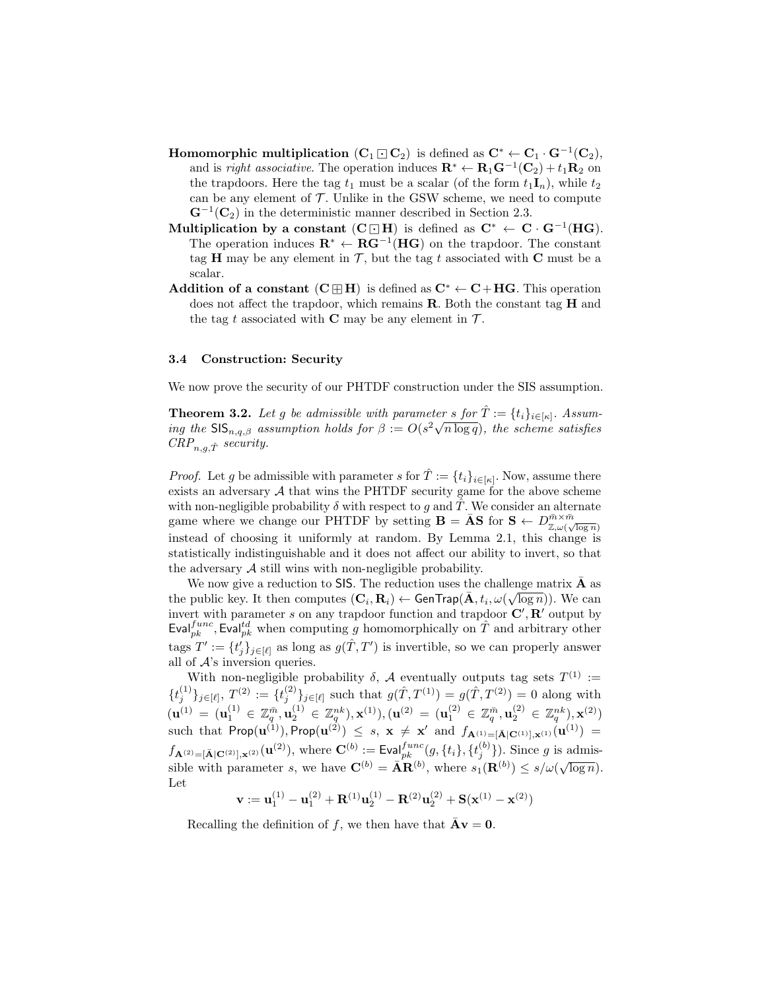- Homomorphic multiplication  $(C_1 \square C_2)$  is defined as  $C^* \leftarrow C_1 \cdot G^{-1}(C_2)$ , and is *right associative*. The operation induces  $\mathbf{R}^* \leftarrow \mathbf{R}_1 \mathbf{G}^{-1}(\mathbf{C}_2) + t_1 \mathbf{R}_2$  on the trapdoors. Here the tag  $t_1$  must be a scalar (of the form  $t_1I_n$ ), while  $t_2$ can be any element of  $\mathcal T$ . Unlike in the GSW scheme, we need to compute  $\mathbf{G}^{-1}(\mathbf{C}_2)$  in the deterministic manner described in Section 2.3.
- Multiplication by a constant  $(C \Box H)$  is defined as  $C^* \leftarrow C \cdot G^{-1}(HG)$ . The operation induces  $\mathbf{R}^* \leftarrow \mathbf{R} \mathbf{G}^{-1}(\mathbf{H}\mathbf{G})$  on the trapdoor. The constant tag H may be any element in  $\mathcal{T}$ , but the tag t associated with C must be a scalar.
- Addition of a constant  $(C \boxplus H)$  is defined as  $C^* \leftarrow C + HG$ . This operation does not affect the trapdoor, which remains R. Both the constant tag H and the tag t associated with C may be any element in  $\mathcal{T}$ .

## 3.4 Construction: Security

We now prove the security of our PHTDF construction under the SIS assumption.

**Theorem 3.2.** Let g be admissible with parameter s for  $\hat{T} := \{t_i\}_{i \in [\kappa]}$ . Assum**independent 3.2.** Let g be admissible with parameter s for  $I := \{i_i\}_{i \in [\kappa]}$ . Assuming the  $\text{SIS}_{n,q,\beta}$  assumption holds for  $\beta := O(s^2 \sqrt{n \log q})$ , the scheme satisfies  $CRP_{n,q,\hat{T}}$  security.

*Proof.* Let g be admissible with parameter s for  $\hat{T} := \{t_i\}_{i \in [\kappa]}$ . Now, assume there exists an adversary  $A$  that wins the PHTDF security game for the above scheme with non-negligible probability  $\delta$  with respect to g and  $\hat{T}$ . We consider an alternate game where we change our PHTDF by setting  $\mathbf{B} = \bar{\mathbf{A}}\mathbf{S}$  for  $\mathbf{S} \leftarrow D_{\mathbb{Z},\omega(\sqrt{\log n}}^{\bar{m}\times\bar{m}}$ instead of choosing it uniformly at random. By Lemma 2.1, this change is statistically indistinguishable and it does not affect our ability to invert, so that the adversary  $\mathcal A$  still wins with non-negligible probability.

We now give a reduction to SIS. The reduction uses the challenge matrix  $\overline{\mathbf{A}}$  as the public key. It then computes  $(C_i, R_i) \leftarrow$  GenTrap $(\bar{A}, t_i, \omega(\sqrt{\log n}))$ . We can invert with parameter s on any trapdoor function and trapdoor  $\mathbf{C}', \mathbf{R}'$  output by Eval $_{pk}^{func}$ , Eval $_{pk}^{td}$  when computing g homomorphically on  $\hat{T}$  and arbitrary other tags  $T' := \{t'_j\}_{j \in [\ell]}$  as long as  $g(\hat{T}, T')$  is invertible, so we can properly answer all of  $A$ 's inversion queries.

With non-negligible probability  $\delta$ ,  $\mathcal A$  eventually outputs tag sets  $T^{(1)} :=$  $\{t_j^{(1)}\}_{j \in [\ell]}, T^{(2)} := \{t_j^{(2)}\}_{j \in [\ell]}$  such that  $g(\hat{T}, T^{(1)}) = g(\hat{T}, T^{(2)}) = 0$  along with  $({\bf u}^{(1)}\, =\, ({\bf u}^{(1)}_1\, \in\, \mathbb{Z}_q^{\bar{m}}, {\bf u}^{(1)}_2\, \in\, \mathbb{Z}_q^{nk}), {\bf x}^{(1)}), ({\bf u}^{(2)}\, =\, ({\bf u}^{(2)}_1\, \in\, \mathbb{Z}_q^{\bar{m}}, {\bf u}^{(2)}_2\, \in\, \mathbb{Z}_q^{nk}), {\bf x}^{(2)})$ such that  $\textsf{Prop}(\mathbf{u}^{(1)}), \textsf{Prop}(\mathbf{u}^{(2)}) \ \leq \ s, \ \mathbf{x} \ \neq \ \mathbf{x}' \ \text{ and } \ f_{\mathbf{A}^{(1)} = [\bar{\mathbf{A}}] \mathbf{C}^{(1)}], \mathbf{x}^{(1)}}(\mathbf{u}^{(1)}) \ =$  $f_{\mathbf{A}^{(2)}=[\bar{\mathbf{A}}|\mathbf{C}^{(2)}],\mathbf{x}^{(2)}}(\mathbf{u}^{(2)}),$  where  $\mathbf{C}^{(b)}:=\text{Eval}_{pk}^{func}(g,\{t_i\},\{t_j^{(b)}\}).$  Since g is admissible with parameter s, we have  $\mathbf{C}^{(b)} = \overline{\mathbf{A}} \mathbf{R}^{(b)}$ , where  $s_1(\mathbf{R}^{(b)}) \leq s/\omega(\sqrt{\log n})$ . Let

 $\mathbf{v} := \mathbf{u}^{(1)}_1 - \mathbf{u}^{(2)}_1 + \mathbf{R}^{(1)}\mathbf{u}^{(1)}_2 - \mathbf{R}^{(2)}\mathbf{u}^{(2)}_2 + \mathbf{S}(\mathbf{x}^{(1)} - \mathbf{x}^{(2)})$ 

Recalling the definition of f, we then have that  $\overline{\mathbf{A}v} = 0$ .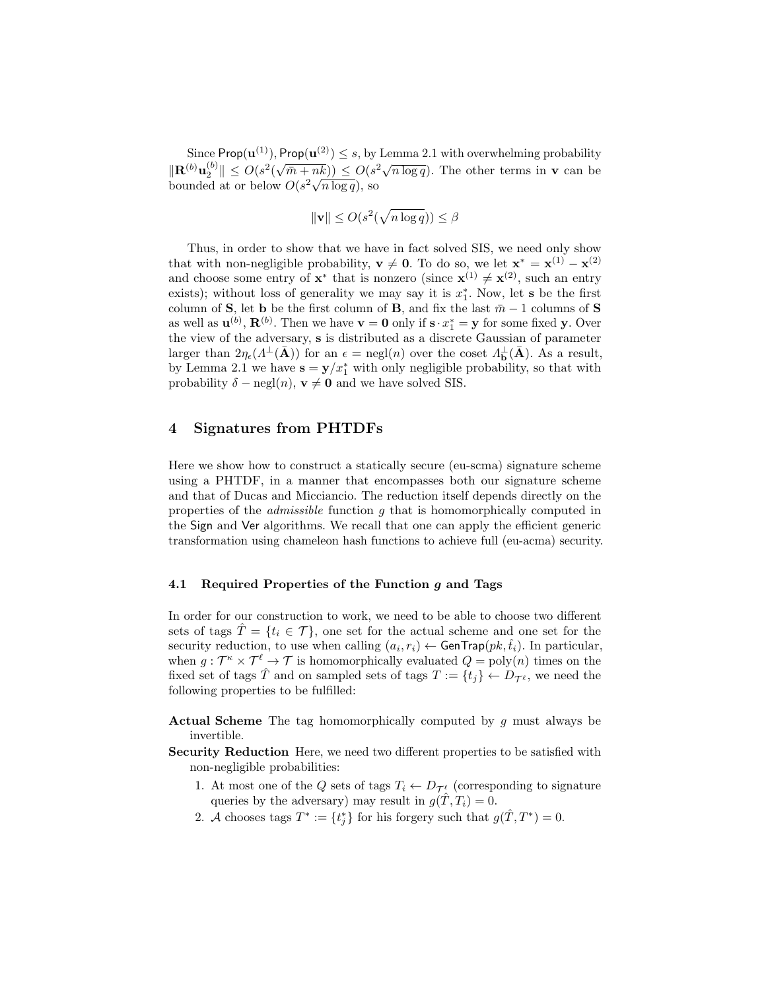Since  $\mathsf{Prop}(\mathbf{u}^{(1)}), \mathsf{Prop}(\mathbf{u}^{(2)}) \leq s$ , by Lemma 2.1 with overwhelming probability  $\|\mathbf{R}^{(b)}\mathbf{u}_2^{(b)}\| \leq O(s^2)$ √  $(\frac{\overline{n}}{\overline{n}+nk}) \leq O(s^2\sqrt{n \log q})$ . The other terms in **v** can be  $\|\mathbf{R}^{\vee}\mathbf{u}_{2}\| \leq O(s \left(\sqrt{m} + nk\right)) \leq O(s)$ <br>bounded at or below  $O(s^2\sqrt{n \log q})$ , so

$$
\|\mathbf{v}\| \le O(s^2(\sqrt{n\log q})) \le \beta
$$

Thus, in order to show that we have in fact solved SIS, we need only show that with non-negligible probability,  $\mathbf{v} \neq \mathbf{0}$ . To do so, we let  $\mathbf{x}^* = \mathbf{x}^{(1)} - \mathbf{x}^{(2)}$ and choose some entry of  $\mathbf{x}^*$  that is nonzero (since  $\mathbf{x}^{(1)} \neq \mathbf{x}^{(2)}$ , such an entry exists); without loss of generality we may say it is  $x_1^*$ . Now, let s be the first column of S, let b be the first column of B, and fix the last  $\bar{m} - 1$  columns of S as well as  $\mathbf{u}^{(b)}$ ,  $\mathbf{R}^{(b)}$ . Then we have  $\mathbf{v} = \mathbf{0}$  only if  $\mathbf{s} \cdot x_1^* = \mathbf{y}$  for some fixed  $\mathbf{y}$ . Over the view of the adversary, s is distributed as a discrete Gaussian of parameter larger than  $2\eta_{\epsilon}(\Lambda^{\perp}(\bar{\mathbf{A}}))$  for an  $\epsilon = \text{negl}(n)$  over the coset  $\Lambda_{\mathbf{b}}^{\perp}(\bar{\mathbf{A}})$ . As a result, by Lemma 2.1 we have  $\mathbf{s} = \mathbf{y}/x_1^*$  with only negligible probability, so that with probability  $\delta - \text{negl}(n)$ ,  $\mathbf{v} \neq \mathbf{0}$  and we have solved SIS.

# 4 Signatures from PHTDFs

Here we show how to construct a statically secure (eu-scma) signature scheme using a PHTDF, in a manner that encompasses both our signature scheme and that of Ducas and Micciancio. The reduction itself depends directly on the properties of the *admissible* function q that is homomorphically computed in the Sign and Ver algorithms. We recall that one can apply the efficient generic transformation using chameleon hash functions to achieve full (eu-acma) security.

# 4.1 Required Properties of the Function  $g$  and Tags

In order for our construction to work, we need to be able to choose two different sets of tags  $\hat{T} = \{t_i \in \mathcal{T}\}\$ , one set for the actual scheme and one set for the security reduction, to use when calling  $(a_i, r_i) \leftarrow$  GenTrap $(pk, \hat{t}_i)$ . In particular, when  $g: \mathcal{T}^{\kappa} \times \mathcal{T}^{\ell} \to \mathcal{T}$  is homomorphically evaluated  $Q = \text{poly}(n)$  times on the fixed set of tags  $\hat{T}$  and on sampled sets of tags  $T := \{t_j\} \leftarrow D_{\mathcal{T}^{\ell}}$ , we need the following properties to be fulfilled:

**Actual Scheme** The tag homomorphically computed by  $g$  must always be invertible.

- Security Reduction Here, we need two different properties to be satisfied with non-negligible probabilities:
	- 1. At most one of the Q sets of tags  $T_i \leftarrow D_{\mathcal{T}^{\ell}}$  (corresponding to signature queries by the adversary) may result in  $g(\hat{T}, T_i) = 0$ .
	- 2. A chooses tags  $T^* := \{t_j^*\}$  for his forgery such that  $g(\hat{T}, T^*) = 0$ .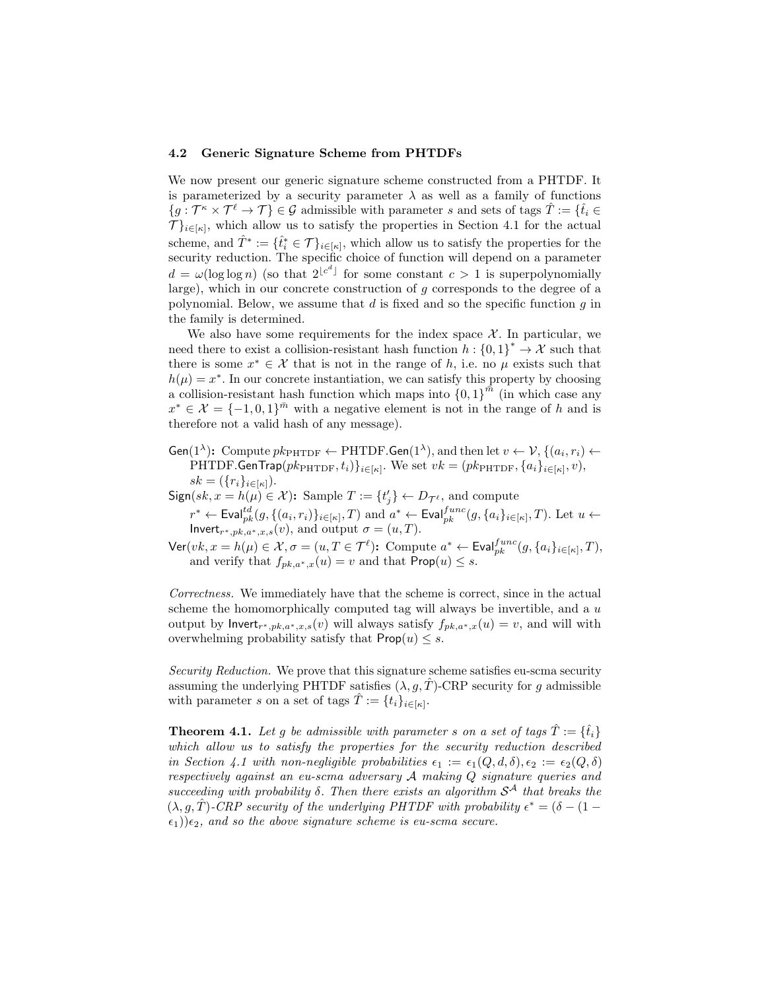## 4.2 Generic Signature Scheme from PHTDFs

We now present our generic signature scheme constructed from a PHTDF. It is parameterized by a security parameter  $\lambda$  as well as a family of functions  ${g : \mathcal{T}^{\kappa} \times \mathcal{T}^{\ell} \to \mathcal{T}} \in \mathcal{G}$  admissible with parameter s and sets of tags  $\hat{T} := \{\hat{t}_i \in \mathcal{T}^{\kappa} \times \mathcal{T}^{\ell} \to \mathcal{T}\}$  $\mathcal{T}$ <sub>i∈[ $\kappa$ ]</sub>, which allow us to satisfy the properties in Section 4.1 for the actual scheme, and  $\hat{T}^* := \{\hat{t}_i^* \in \mathcal{T}\}_{i \in [\kappa]}$ , which allow us to satisfy the properties for the security reduction. The specific choice of function will depend on a parameter  $d = \omega(\log \log n)$  (so that  $2^{\lfloor c^d \rfloor}$  for some constant  $c > 1$  is superpolynomially large), which in our concrete construction of g corresponds to the degree of a polynomial. Below, we assume that  $d$  is fixed and so the specific function  $g$  in the family is determined.

We also have some requirements for the index space  $X$ . In particular, we need there to exist a collision-resistant hash function  $h: \{0,1\}^* \to \mathcal{X}$  such that there is some  $x^* \in \mathcal{X}$  that is not in the range of h, i.e. no  $\mu$  exists such that  $h(\mu) = x^*$ . In our concrete instantiation, we can satisfy this property by choosing a collision-resistant hash function which maps into  ${0,1}^{\bar{m}}$  (in which case any  $x^* \in \mathcal{X} = \{-1, 0, 1\}^{\bar{m}}$  with a negative element is not in the range of h and is therefore not a valid hash of any message).

Gen(1<sup> $\lambda$ </sup>): Compute  $pk_{\text{PHTDF}} \leftarrow \text{PHTDF}$ . Gen(1<sup> $\lambda$ </sup>), and then let  $v \leftarrow \mathcal{V}$ ,  $\{(a_i, r_i) \leftarrow$ PHTDF.GenTrap $(pk_{\text{PHTDF}}, t_i) \}_{i \in [\kappa]}$ . We set  $vk = (pk_{\text{PHTDF}}, \{a_i\}_{i \in [\kappa]}, v),$  $sk = (\{r_i\}_{i \in [\kappa]}).$ 

 $Sign(sk, x = h(\mu) \in \mathcal{X})$ : Sample  $T := \{t'_j\} \leftarrow D_{\mathcal{T}^{\ell}}$ , and compute

 $r^* \leftarrow \textsf{Eval}^{td}_{pk}(g, \{(a_i, r_i)\}_{i \in [\kappa]}, T)$  and  $a^* \leftarrow \textsf{Eval}^{func}_{pk}(g, \{a_i\}_{i \in [\kappa]}, T)$ . Let  $u \leftarrow$ Invert<sub>r\*,pk,a\*,x,s</sub> $(v)$ , and output  $\sigma = (u, T)$ .

 $\mathsf{Ver}(vk, x = h(\mu) \in \mathcal{X}, \sigma = (u, T \in \mathcal{T}^{\ell})$ : Compute  $a^* \leftarrow \mathsf{Eval}_{pk}^{func}(g, \{a_i\}_{i \in [\kappa]}, T)$ , and verify that  $f_{pk,a^*,x}(u) = v$  and that  $\mathsf{Prop}(u) \leq s$ .

Correctness. We immediately have that the scheme is correct, since in the actual scheme the homomorphically computed tag will always be invertible, and a  $u$ output by lnvert<sub>r\*,pk,a\*,x,s</sub>(v) will always satisfy  $f_{pk,a^*,x}(u) = v$ , and will with overwhelming probability satisfy that  $\mathsf{Prop}(u) \leq s$ .

Security Reduction. We prove that this signature scheme satisfies eu-scma security assuming the underlying PHTDF satisfies  $(\lambda, g, T)$ -CRP security for g admissible with parameter s on a set of tags  $\hat{T} := \{t_i\}_{i \in [\kappa]}$ .

**Theorem 4.1.** Let q be admissible with parameter s on a set of tags  $\hat{T} := \{\hat{t}_i\}$ which allow us to satisfy the properties for the security reduction described in Section 4.1 with non-negligible probabilities  $\epsilon_1 := \epsilon_1(Q, d, \delta), \epsilon_2 := \epsilon_2(Q, \delta)$ respectively against an eu-scma adversary A making Q signature queries and succeeding with probability  $\delta$ . Then there exists an algorithm  $S^{\mathcal{A}}$  that breaks the  $(\lambda, g, \hat{T})$ -CRP security of the underlying PHTDF with probability  $\epsilon^* = (\delta - (1 - \hat{T}))$  $\epsilon_1$ )) $\epsilon_2$ , and so the above signature scheme is eu-scma secure.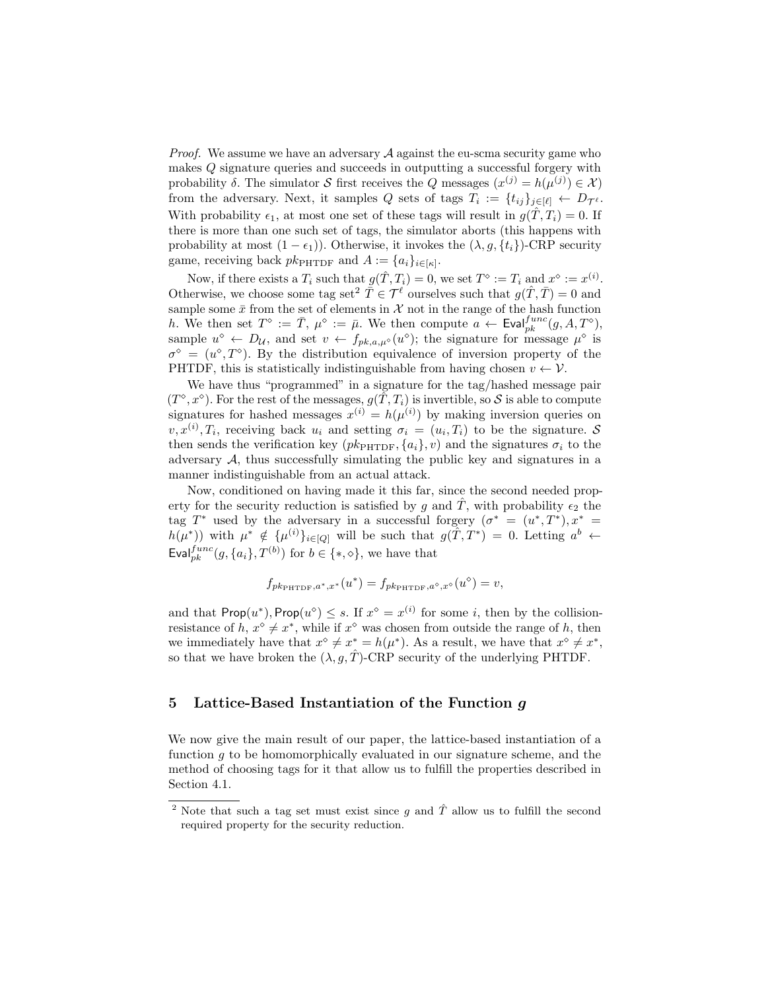*Proof.* We assume we have an adversary  $A$  against the eu-scma security game who makes Q signature queries and succeeds in outputting a successful forgery with probability  $\delta$ . The simulator S first receives the Q messages  $(x^{(j)} = h(\mu^{(j)}) \in \mathcal{X})$ from the adversary. Next, it samples Q sets of tags  $T_i := \{t_{ij}\}_{j \in [\ell]} \leftarrow D_{\mathcal{T}^{\ell}}$ . With probability  $\epsilon_1$ , at most one set of these tags will result in  $g(\hat{T}, T_i) = 0$ . If there is more than one such set of tags, the simulator aborts (this happens with probability at most  $(1 - \epsilon_1)$ ). Otherwise, it invokes the  $(\lambda, g, \{t_i\})$ -CRP security game, receiving back  $pk_{\text{PHTDF}}$  and  $A := \{a_i\}_{i \in [\kappa]}.$ 

Now, if there exists a  $T_i$  such that  $g(\hat{T}, T_i) = 0$ , we set  $T^{\diamond} := T_i$  and  $x^{\diamond} := x^{(i)}$ . Otherwise, we choose some tag set<sup>2</sup>  $\tilde{\overline{T}} \in \mathcal{T}^{\ell}$  ourselves such that  $q(\hat{T}, \overline{T}) = 0$  and sample some  $\bar{x}$  from the set of elements in  $\mathcal X$  not in the range of the hash function h. We then set  $T^{\diamond} := \overline{T}$ ,  $\mu^{\diamond} := \overline{\mu}$ . We then compute  $a \leftarrow \text{Eval}_{pk}^{func}(g, A, T^{\diamond}),$ sample  $u^{\diamond} \leftarrow D_{\mathcal{U}}$ , and set  $v \leftarrow f_{pk,a,\mu^{\diamond}}(u^{\diamond})$ ; the signature for message  $\mu^{\diamond}$  is  $\sigma^{\diamond} = (u^{\diamond}, T^{\diamond})$ . By the distribution equivalence of inversion property of the PHTDF, this is statistically indistinguishable from having chosen  $v \leftarrow \mathcal{V}$ .

We have thus "programmed" in a signature for the tag/hashed message pair  $(T^{\diamond}, x^{\diamond})$ . For the rest of the messages,  $g(\tilde{T}, T_i)$  is invertible, so S is able to compute signatures for hashed messages  $x^{(i)} = h(\mu^{(i)})$  by making inversion queries on  $v, x^{(i)}$ ,  $T_i$ , receiving back  $u_i$  and setting  $\sigma_i = (u_i, T_i)$  to be the signature. S then sends the verification key  $(pk_{\text{PHTDF}}, \{a_i\}, v)$  and the signatures  $\sigma_i$  to the adversary  $A$ , thus successfully simulating the public key and signatures in a manner indistinguishable from an actual attack.

Now, conditioned on having made it this far, since the second needed property for the security reduction is satisfied by g and T, with probability  $\epsilon_2$  the tag T<sup>\*</sup> used by the adversary in a successful forgery  $(\sigma^* = (u^*, T^*), x^* =$  $h(\mu^*)$  with  $\mu^* \notin {\{\mu^{(i)}\}_{i \in [Q]} }$  will be such that  $g(\hat{T}, T^*) = 0$ . Letting  $a^b \leftarrow$ Eval $f_{pk}^{tunc}(g, \{a_i\}, T^{(b)})$  for  $b \in \{*, \diamond\}$ , we have that

$$
f_{pk_{\text{PHTDF}},a^*,x^*}(u^*) = f_{pk_{\text{PHTDF}},a^{\diamond},x^{\diamond}}(u^{\diamond}) = v,
$$

and that  $\mathsf{Prop}(u^*)$ ,  $\mathsf{Prop}(u^{\diamond}) \leq s$ . If  $x^{\diamond} = x^{(i)}$  for some i, then by the collisionresistance of h,  $x^{\diamond} \neq x^*$ , while if  $x^{\diamond}$  was chosen from outside the range of h, then we immediately have that  $x^{\diamond} \neq x^* = h(\mu^*)$ . As a result, we have that  $x^{\diamond} \neq x^*$ , so that we have broken the  $(\lambda, g, \hat{T})$ -CRP security of the underlying PHTDF.

# 5 Lattice-Based Instantiation of the Function g

We now give the main result of our paper, the lattice-based instantiation of a function  $g$  to be homomorphically evaluated in our signature scheme, and the method of choosing tags for it that allow us to fulfill the properties described in Section 4.1.

<sup>&</sup>lt;sup>2</sup> Note that such a tag set must exist since g and  $\hat{T}$  allow us to fulfill the second required property for the security reduction.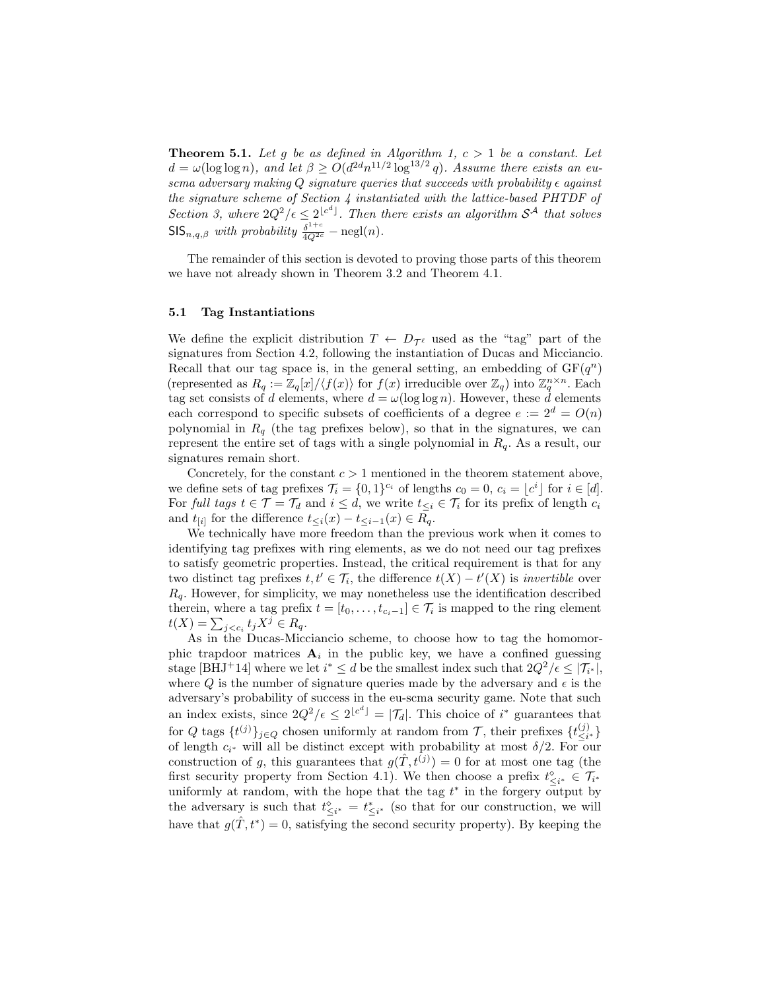**Theorem 5.1.** Let g be as defined in Algorithm 1,  $c > 1$  be a constant. Let  $d = \omega(\log \log n)$ , and let  $\beta \ge O(d^{2d}n^{11/2} \log^{13/2} q)$ . Assume there exists an euscma adversary making  $Q$  signature queries that succeeds with probability  $\epsilon$  against the signature scheme of Section 4 instantiated with the lattice-based PHTDF of Section 3, where  $2Q^2/\epsilon \leq 2^{\lfloor c^d \rfloor}$ . Then there exists an algorithm  $S^{\mathcal{A}}$  that solves  $\mathsf{SIS}_{n,q,\beta}$  with probability  $\frac{\delta^{1+c}}{4Q^{2c}} - \mathrm{negl}(n)$ .

The remainder of this section is devoted to proving those parts of this theorem we have not already shown in Theorem 3.2 and Theorem 4.1.

#### 5.1 Tag Instantiations

We define the explicit distribution  $T \leftarrow D_{\mathcal{T}^{\ell}}$  used as the "tag" part of the signatures from Section 4.2, following the instantiation of Ducas and Micciancio. Recall that our tag space is, in the general setting, an embedding of  $GF(q^n)$ (represented as  $R_q := \mathbb{Z}_q[x]/\langle f(x) \rangle$  for  $f(x)$  irreducible over  $\mathbb{Z}_q$ ) into  $\mathbb{Z}_q^{n \times n}$ . Each tag set consists of d elements, where  $d = \omega(\log \log n)$ . However, these  $\dot{d}$  elements each correspond to specific subsets of coefficients of a degree  $e := 2^d = O(n)$ polynomial in  $R_q$  (the tag prefixes below), so that in the signatures, we can represent the entire set of tags with a single polynomial in  $R_q$ . As a result, our signatures remain short.

Concretely, for the constant  $c > 1$  mentioned in the theorem statement above, we define sets of tag prefixes  $\mathcal{T}_i = \{0,1\}^{c_i}$  of lengths  $c_0 = 0, c_i = \lfloor c^i \rfloor$  for  $i \in [d]$ . For full tags  $t \in \mathcal{T} = \mathcal{T}_d$  and  $i \leq d$ , we write  $t \leq \mathcal{T}_i$  for its prefix of length  $c_i$ and  $t_{[i]}$  for the difference  $t_{\leq i}(x) - t_{\leq i-1}(x) \in R_q$ .

We technically have more freedom than the previous work when it comes to identifying tag prefixes with ring elements, as we do not need our tag prefixes to satisfy geometric properties. Instead, the critical requirement is that for any two distinct tag prefixes  $t, t' \in \mathcal{T}_i$ , the difference  $t(X) - t'(X)$  is *invertible* over  $R<sub>q</sub>$ . However, for simplicity, we may nonetheless use the identification described therein, where a tag prefix  $t = [t_0, \ldots, t_{c_i-1}] \in \mathcal{T}_i$  is mapped to the ring element  $t(X) = \sum_{j < c_i} t_j X^j \in R_q.$ 

As in the Ducas-Micciancio scheme, to choose how to tag the homomorphic trapdoor matrices  $A_i$  in the public key, we have a confined guessing stage [BHJ<sup>+</sup>14] where we let  $i^* \leq d$  be the smallest index such that  $2Q^2/\epsilon \leq |\mathcal{T}_{i^*}|$ , where Q is the number of signature queries made by the adversary and  $\epsilon$  is the adversary's probability of success in the eu-scma security game. Note that such an index exists, since  $2Q^2/\epsilon \leq 2^{\lfloor c^d \rfloor} = |\mathcal{T}_d|$ . This choice of i<sup>\*</sup> guarantees that for Q tags  $\{t^{(j)}\}_{j\in Q}$  chosen uniformly at random from T, their prefixes  $\{t^{(j)}_{\leq i}$  $\{3i*\}{\leq i^*}$ of length  $c_{i^*}$  will all be distinct except with probability at most  $\delta/2$ . For our construction of g, this guarantees that  $g(\hat{T}, \tilde{t}^{(j)}) = 0$  for at most one tag (the first security property from Section 4.1). We then choose a prefix  $t^{\diamond}_{\leq i^*} \in \mathcal{T}_{i^*}$ uniformly at random, with the hope that the tag  $t^*$  in the forgery output by the adversary is such that  $t^{\diamond}_{\leq i^*} = t^*_{\leq i^*}$  (so that for our construction, we will have that  $g(\hat{T}, t^*) = 0$ , satisfying the second security property). By keeping the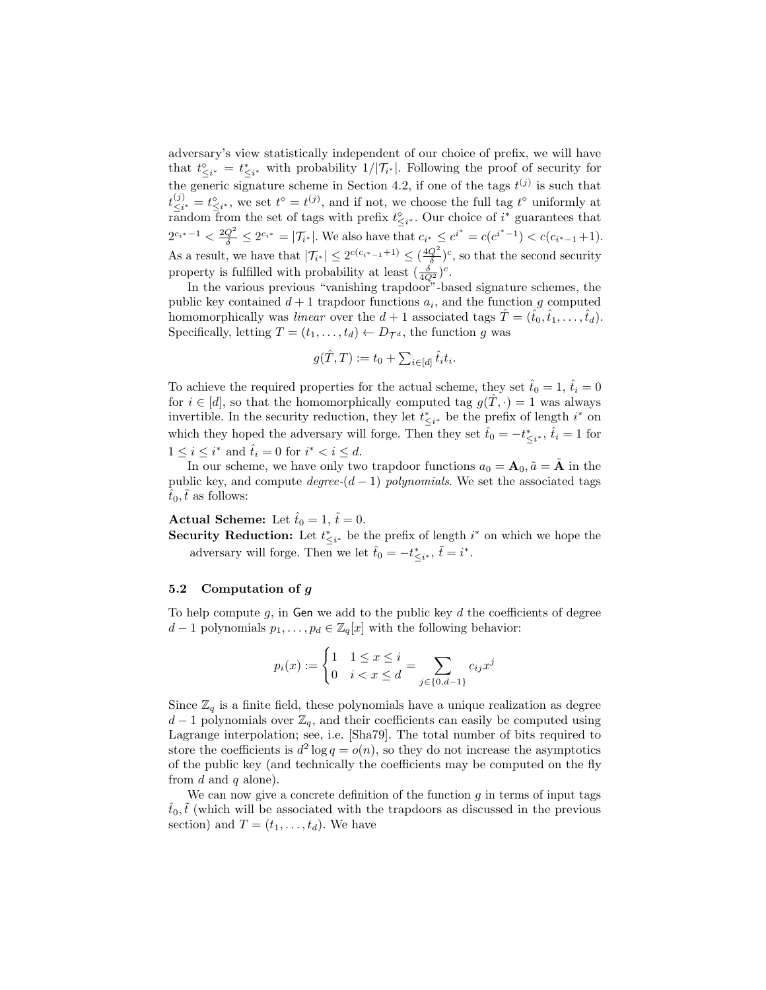adversary's view statistically independent of our choice of prefix, we will have that  $t_{\leq i^*}^{\diamond} = t_{\leq i^*}^*$  with probability  $1/|\mathcal{T}_{i^*}|$ . Following the proof of security for the generic signature scheme in Section 4.2, if one of the tags  $t^{(j)}$  is such that  $t_{\leq i}^{(j)}$  $\zeta_i^{(j)} = t_{\leq i^*}^{\diamond}$ , we set  $t^{\diamond} = t^{(j)}$ , and if not, we choose the full tag  $t^{\diamond}$  uniformly at random from the set of tags with prefix  $t_{\leq i^*}^{\diamond}$ . Our choice of  $i^*$  guarantees that  $2^{c_{i^*}-1} < \frac{2Q^2}{\delta} \leq 2^{c_{i^*}} = |\mathcal{T}_{i^*}|$ . We also have that  $c_{i^*} \leq c^{i^*} = c(c^{i^*-1}) < c(c_{i^*-1}+1)$ . As a result, we have that  $|\mathcal{T}_{i^*}| \leq 2^{c(c_{i^*}-1)+1} \leq (\frac{4Q^2}{\delta})^c$ , so that the second security property is fulfilled with probability at least  $(\frac{\delta}{4Q^2})^c$ .

In the various previous "vanishing trapdoor"-based signature schemes, the public key contained  $d+1$  trapdoor functions  $a_i$ , and the function g computed homomorphically was linear over the  $d+1$  associated tags  $\hat{T} = (\hat{t}_0, \hat{t}_1, \dots, \hat{t}_d)$ . Specifically, letting  $T = (t_1, \ldots, t_d) \leftarrow D_{\mathcal{T}^d}$ , the function g was

$$
g(\hat{T},T) := t_0 + \sum_{i \in [d]} \hat{t}_i t_i.
$$

To achieve the required properties for the actual scheme, they set  $\hat{t}_0 = 1$ ,  $\hat{t}_i = 0$ for  $i \in [d]$ , so that the homomorphically computed tag  $g(T, \cdot) = 1$  was always invertible. In the security reduction, they let  $t_{\leq i^*}^*$  be the prefix of length  $i^*$  on which they hoped the adversary will forge. Then they set  $\hat{t}_0 = -t^*_{\leq i^*}, \hat{t}_i = 1$  for  $1 \leq i \leq i^*$  and  $\hat{t}_i = 0$  for  $i^* < i \leq d$ .

In our scheme, we have only two trapdoor functions  $a_0 = \mathbf{A}_0$ ,  $\tilde{a} = \tilde{\mathbf{A}}$  in the public key, and compute  $degree-(d-1)$  polynomials. We set the associated tags  $t_0, t$  as follows:

Actual Scheme: Let  $\hat{t}_0 = 1, \, \tilde{t} = 0.$ 

**Security Reduction:** Let  $t^*_{\leq i^*}$  be the prefix of length  $i^*$  on which we hope the adversary will forge. Then we let  $\hat{t}_0 = -t^*_{\leq i^*}, \, \tilde{t} = i^*.$ 

## 5.2 Computation of g

To help compute  $g$ , in Gen we add to the public key  $d$  the coefficients of degree  $d-1$  polynomials  $p_1, \ldots, p_d \in \mathbb{Z}_q[x]$  with the following behavior:

$$
p_i(x) := \begin{cases} 1 & 1 \le x \le i \\ 0 & i < x \le d \end{cases} = \sum_{j \in \{0, d-1\}} c_{ij} x^j
$$

Since  $\mathbb{Z}_q$  is a finite field, these polynomials have a unique realization as degree  $d-1$  polynomials over  $\mathbb{Z}_q$ , and their coefficients can easily be computed using Lagrange interpolation; see, i.e. [Sha79]. The total number of bits required to store the coefficients is  $d^2 \log q = o(n)$ , so they do not increase the asymptotics of the public key (and technically the coefficients may be computed on the fly from  $d$  and  $q$  alone).

We can now give a concrete definition of the function  $q$  in terms of input tags  $\hat{t}_0, \tilde{t}$  (which will be associated with the trapdoors as discussed in the previous section) and  $T = (t_1, \ldots, t_d)$ . We have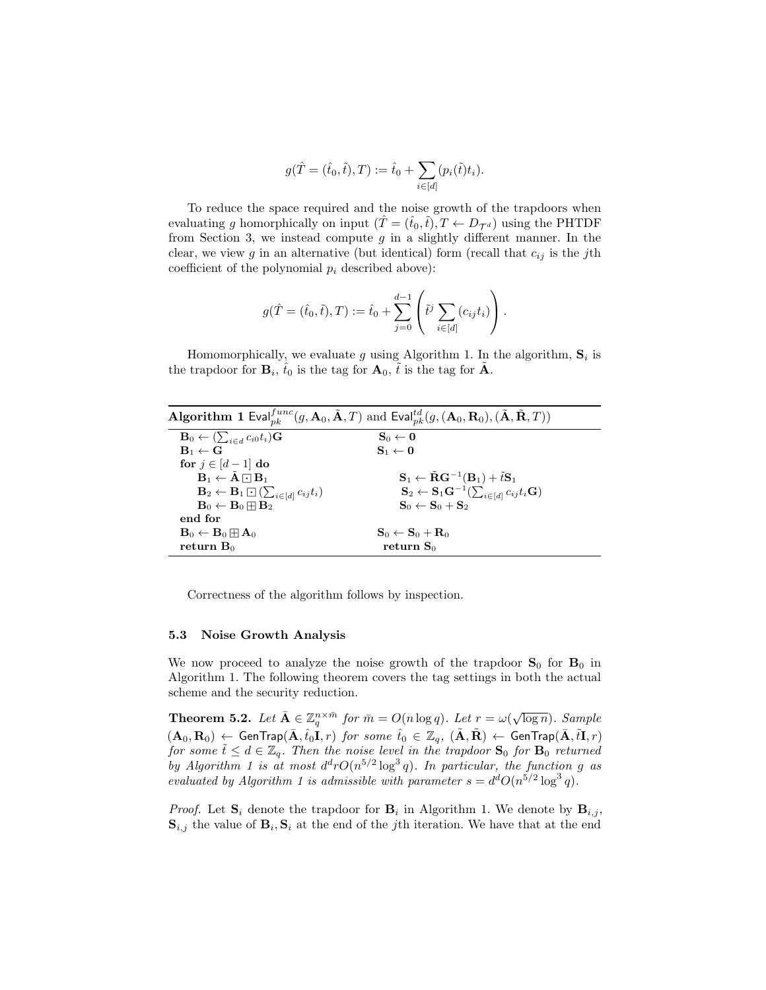$$
g(\hat{T} = (\hat{t}_0, \tilde{t}), T) := \hat{t}_0 + \sum_{i \in [d]} (p_i(\tilde{t})t_i).
$$

To reduce the space required and the noise growth of the trapdoors when evaluating g homorphically on input  $(T = (\hat{t}_0, \tilde{t}), T \leftarrow D_{\mathcal{T}^d}$  using the PHTDF from Section 3, we instead compute  $g$  in a slightly different manner. In the clear, we view g in an alternative (but identical) form (recall that  $c_{ij}$  is the jth coefficient of the polynomial  $p_i$  described above):

$$
g(\hat{T} = (\hat{t}_0, \tilde{t}), T) := \hat{t}_0 + \sum_{j=0}^{d-1} \left( \tilde{t}^j \sum_{i \in [d]} (c_{ij} t_i) \right).
$$

Homomorphically, we evaluate g using Algorithm 1. In the algorithm,  $S_i$  is the trapdoor for  $\mathbf{B}_i$ ,  $\hat{t}_0$  is the tag for  $\mathbf{A}_0$ ,  $\tilde{t}$  is the tag for  $\tilde{\mathbf{A}}$ .

| <b>Algorithm 1</b> Eval $f_{nk}^{func}(g, A_0, \tilde{A}, T)$ and Eval $f_{nk}^{td}(g, (A_0, R_0), (\tilde{A}, \tilde{R}, T))$ |                                                                                                     |  |  |  |
|--------------------------------------------------------------------------------------------------------------------------------|-----------------------------------------------------------------------------------------------------|--|--|--|
| $\mathbf{B}_0 \leftarrow (\sum_{i \in d} c_{i0} t_i) \mathbf{G}$                                                               | $\mathbf{S}_0 \leftarrow \mathbf{0}$                                                                |  |  |  |
| $\mathbf{B}_1 \leftarrow \mathbf{G}$                                                                                           | $S_1 \leftarrow 0$                                                                                  |  |  |  |
| for $j \in [d-1]$ do                                                                                                           |                                                                                                     |  |  |  |
| $B_1 \leftarrow \tilde{A} \cap B_1$                                                                                            | $\mathbf{S}_1 \leftarrow \tilde{\mathbf{R}} \mathbf{G}^{-1}(\mathbf{B}_1) + \tilde{t} \mathbf{S}_1$ |  |  |  |
| $\mathbf{B}_2 \leftarrow \mathbf{B}_1 \boxdot (\sum_{i \in [d]} c_{ij} t_i)$                                                   | $\mathbf{S}_2 \leftarrow \mathbf{S}_1 \mathbf{G}^{-1} (\sum_{i \in [d]} c_{ij} t_i \mathbf{G})$     |  |  |  |
| $\mathbf{B}_0 \leftarrow \mathbf{B}_0 \boxplus \mathbf{B}_2$                                                                   | $S_0 \leftarrow S_0 + S_2$                                                                          |  |  |  |
| end for                                                                                                                        |                                                                                                     |  |  |  |
| $\mathbf{B}_0 \leftarrow \mathbf{B}_0 \boxplus \mathbf{A}_0$                                                                   | $\mathbf{S}_0 \leftarrow \mathbf{S}_0 + \mathbf{R}_0$                                               |  |  |  |
| return $B_0$                                                                                                                   | return $S_0$                                                                                        |  |  |  |

Correctness of the algorithm follows by inspection.

#### 5.3 Noise Growth Analysis

We now proceed to analyze the noise growth of the trapdoor  $S_0$  for  $B_0$  in Algorithm 1. The following theorem covers the tag settings in both the actual scheme and the security reduction.

**Theorem 5.2.** Let  $\bar{\mathbf{A}} \in \mathbb{Z}_q^{n \times \bar{m}}$  for  $\bar{m} = O(n \log q)$ . Let  $r = \omega(\sqrt{\log n})$ . Sample  $(\mathbf{A}_0, \mathbf{R}_0) \leftarrow \mathsf{GenTrap}(\bar{\mathbf{A}}, \hat{t}_0\mathbf{I}, r)$  for some  $\hat{t}_0 \in \mathbb{Z}_q$ ,  $(\tilde{\mathbf{A}}, \tilde{\mathbf{R}}) \leftarrow \mathsf{GenTrap}(\bar{\mathbf{A}}, \tilde{t}\mathbf{I}, r)$ for some  $\tilde{t} \leq d \in \mathbb{Z}_q$ . Then the noise level in the trapdoor  $S_0$  for  $B_0$  returned by Algorithm 1 is at most  $d^d r O(n^{5/2} \log^3 q)$ . In particular, the function g as evaluated by Algorithm 1 is admissible with parameter  $s = d^d O(n^{5/2} \log^3 q)$ .

*Proof.* Let  $S_i$  denote the trapdoor for  $B_i$  in Algorithm 1. We denote by  $B_{i,j}$ ,  $\mathbf{S}_{i,j}$  the value of  $\mathbf{B}_i$ ,  $\mathbf{S}_i$  at the end of the *j*th iteration. We have that at the end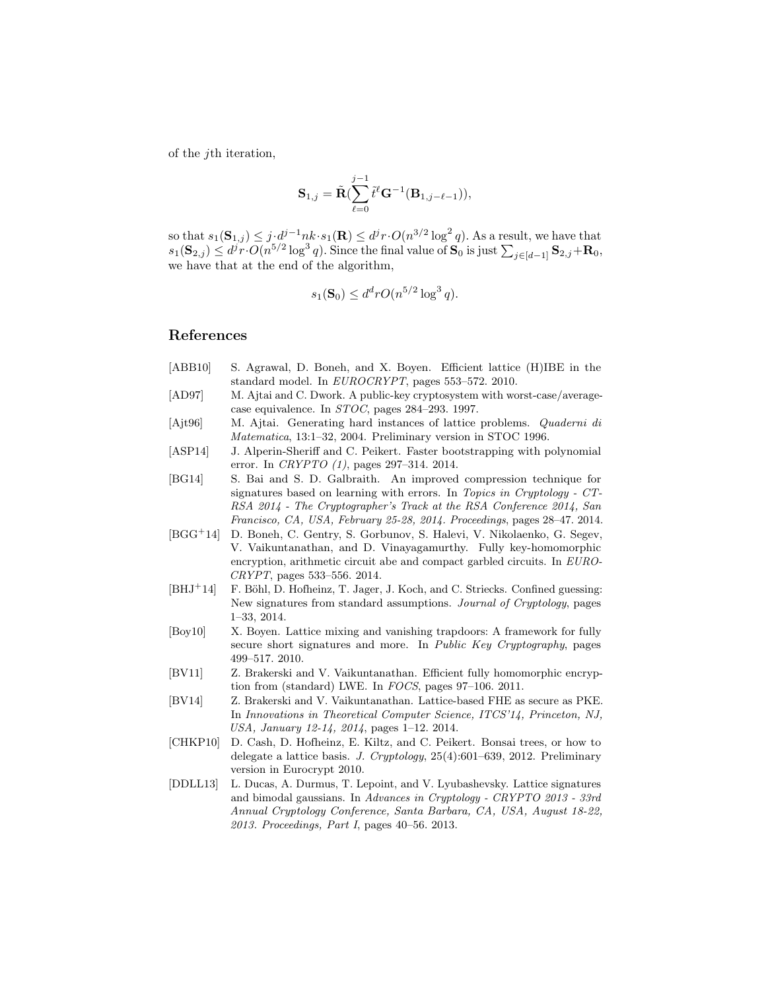of the jth iteration,

$$
\mathbf{S}_{1,j} = \tilde{\mathbf{R}}(\sum_{\ell=0}^{j-1} \tilde{t}^{\ell} \mathbf{G}^{-1}(\mathbf{B}_{1,j-\ell-1})),
$$

so that  $s_1(\mathbf{S}_{1,j}) \leq j \cdot d^{j-1}nk \cdot s_1(\mathbf{R}) \leq d^jr \cdot O(n^{3/2} \log^2 q)$ . As a result, we have that  $s_1(\mathbf{S}_{2,j}) \leq d^j r \cdot O(n^{5/2} \log^3 q)$ . Since the final value of  $\mathbf{S}_0$  is just  $\sum_{j \in [d-1]} \mathbf{S}_{2,j} + \mathbf{R}_0$ , we have that at the end of the algorithm,

$$
s_1(\mathbf{S}_0) \le d^d r O(n^{5/2} \log^3 q).
$$

# References

- [ABB10] S. Agrawal, D. Boneh, and X. Boyen. Efficient lattice (H)IBE in the standard model. In EUROCRYPT, pages 553–572. 2010.
- [AD97] M. Ajtai and C. Dwork. A public-key cryptosystem with worst-case/averagecase equivalence. In STOC, pages 284–293. 1997.
- [Ajt96] M. Ajtai. Generating hard instances of lattice problems. Quaderni di Matematica, 13:1–32, 2004. Preliminary version in STOC 1996.
- [ASP14] J. Alperin-Sheriff and C. Peikert. Faster bootstrapping with polynomial error. In CRYPTO (1), pages 297–314. 2014.
- [BG14] S. Bai and S. D. Galbraith. An improved compression technique for signatures based on learning with errors. In Topics in Cryptology - CT-RSA 2014 - The Cryptographer's Track at the RSA Conference 2014, San Francisco, CA, USA, February 25-28, 2014. Proceedings, pages 28–47. 2014.
- [BGG<sup>+</sup>14] D. Boneh, C. Gentry, S. Gorbunov, S. Halevi, V. Nikolaenko, G. Segev, V. Vaikuntanathan, and D. Vinayagamurthy. Fully key-homomorphic encryption, arithmetic circuit abe and compact garbled circuits. In EURO-CRYPT, pages 533–556. 2014.
- [BHJ<sup>+</sup>14] F. Böhl, D. Hofheinz, T. Jager, J. Koch, and C. Striecks. Confined guessing: New signatures from standard assumptions. Journal of Cryptology, pages 1–33, 2014.
- [Boy10] X. Boyen. Lattice mixing and vanishing trapdoors: A framework for fully secure short signatures and more. In *Public Key Cryptography*, pages 499–517. 2010.
- [BV11] Z. Brakerski and V. Vaikuntanathan. Efficient fully homomorphic encryption from (standard) LWE. In FOCS, pages 97–106. 2011.
- [BV14] Z. Brakerski and V. Vaikuntanathan. Lattice-based FHE as secure as PKE. In Innovations in Theoretical Computer Science, ITCS'14, Princeton, NJ, USA, January 12-14, 2014, pages 1–12. 2014.
- [CHKP10] D. Cash, D. Hofheinz, E. Kiltz, and C. Peikert. Bonsai trees, or how to delegate a lattice basis. J. Cryptology, 25(4):601–639, 2012. Preliminary version in Eurocrypt 2010.
- [DDLL13] L. Ducas, A. Durmus, T. Lepoint, and V. Lyubashevsky. Lattice signatures and bimodal gaussians. In Advances in Cryptology - CRYPTO 2013 - 33rd Annual Cryptology Conference, Santa Barbara, CA, USA, August 18-22, 2013. Proceedings, Part I, pages 40–56. 2013.